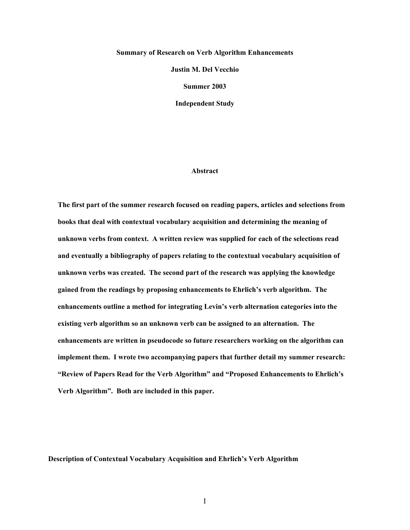#### **Summary of Research on Verb Algorithm Enhancements**

**Justin M. Del Vecchio**

**Summer 2003**

**Independent Study**

#### **Abstract**

**The first part of the summer research focused on reading papers, articles and selections from books that deal with contextual vocabulary acquisition and determining the meaning of unknown verbs from context. A written review was supplied for each of the selections read and eventually a bibliography of papers relating to the contextual vocabulary acquisition of unknown verbs was created. The second part of the research was applying the knowledge gained from the readings by proposing enhancements to Ehrlich's verb algorithm. The enhancements outline a method for integrating Levin's verb alternation categories into the existing verb algorithm so an unknown verb can be assigned to an alternation. The enhancements are written in pseudocode so future researchers working on the algorithm can implement them. I wrote two accompanying papers that further detail my summer research: "Review of Papers Read for the Verb Algorithm" and "Proposed Enhancements to Ehrlich's Verb Algorithm". Both are included in this paper.**

**Description of Contextual Vocabulary Acquisition and Ehrlich's Verb Algorithm**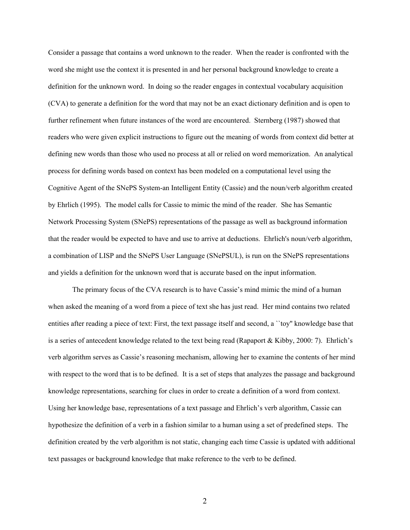Consider a passage that contains a word unknown to the reader. When the reader is confronted with the word she might use the context it is presented in and her personal background knowledge to create a definition for the unknown word. In doing so the reader engages in contextual vocabulary acquisition (CVA) to generate a definition for the word that may not be an exact dictionary definition and is open to further refinement when future instances of the word are encountered. Sternberg (1987) showed that readers who were given explicit instructions to figure out the meaning of words from context did better at defining new words than those who used no process at all or relied on word memorization. An analytical process for defining words based on context has been modeled on a computational level using the Cognitive Agent of the SNePS System-an Intelligent Entity (Cassie) and the noun/verb algorithm created by Ehrlich (1995). The model calls for Cassie to mimic the mind of the reader. She has Semantic Network Processing System (SNePS) representations of the passage as well as background information that the reader would be expected to have and use to arrive at deductions. Ehrlich's noun/verb algorithm, a combination of LISP and the SNePS User Language (SNePSUL), is run on the SNePS representations and yields a definition for the unknown word that is accurate based on the input information.

The primary focus of the CVA research is to have Cassie's mind mimic the mind of a human when asked the meaning of a word from a piece of text she has just read. Her mind contains two related entities after reading a piece of text: First, the text passage itself and second, a ``toy'' knowledge base that is a series of antecedent knowledge related to the text being read (Rapaport & Kibby, 2000: 7). Ehrlich's verb algorithm serves as Cassie's reasoning mechanism, allowing her to examine the contents of her mind with respect to the word that is to be defined. It is a set of steps that analyzes the passage and background knowledge representations, searching for clues in order to create a definition of a word from context. Using her knowledge base, representations of a text passage and Ehrlich's verb algorithm, Cassie can hypothesize the definition of a verb in a fashion similar to a human using a set of predefined steps. The definition created by the verb algorithm is not static, changing each time Cassie is updated with additional text passages or background knowledge that make reference to the verb to be defined.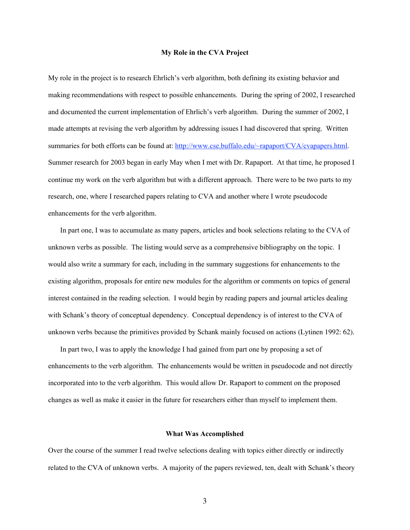#### **My Role in the CVA Project**

My role in the project is to research Ehrlich's verb algorithm, both defining its existing behavior and making recommendations with respect to possible enhancements. During the spring of 2002, I researched and documented the current implementation of Ehrlich's verb algorithm. During the summer of 2002, I made attempts at revising the verb algorithm by addressing issues I had discovered that spring. Written summaries for both efforts can be found at: http://www.cse.buffalo.edu/~rapaport/CVA/cvapapers.html. Summer research for 2003 began in early May when I met with Dr. Rapaport. At that time, he proposed I continue my work on the verb algorithm but with a different approach. There were to be two parts to my research, one, where I researched papers relating to CVA and another where I wrote pseudocode enhancements for the verb algorithm.

In part one, I was to accumulate as many papers, articles and book selections relating to the CVA of unknown verbs as possible. The listing would serve as a comprehensive bibliography on the topic. I would also write a summary for each, including in the summary suggestions for enhancements to the existing algorithm, proposals for entire new modules for the algorithm or comments on topics of general interest contained in the reading selection. I would begin by reading papers and journal articles dealing with Schank's theory of conceptual dependency. Conceptual dependency is of interest to the CVA of unknown verbs because the primitives provided by Schank mainly focused on actions (Lytinen 1992: 62).

In part two, I was to apply the knowledge I had gained from part one by proposing a set of enhancements to the verb algorithm. The enhancements would be written in pseudocode and not directly incorporated into to the verb algorithm. This would allow Dr. Rapaport to comment on the proposed changes as well as make it easier in the future for researchers either than myself to implement them.

#### **What Was Accomplished**

Over the course of the summer I read twelve selections dealing with topics either directly or indirectly related to the CVA of unknown verbs. A majority of the papers reviewed, ten, dealt with Schank's theory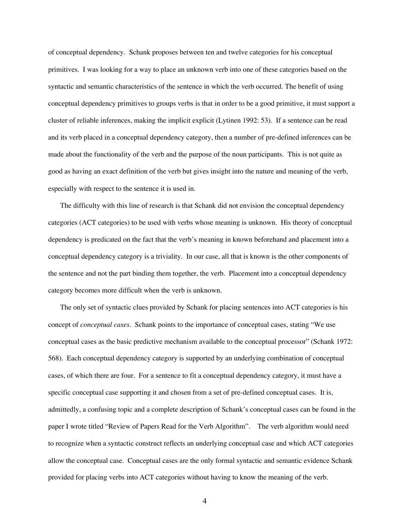of conceptual dependency. Schank proposes between ten and twelve categories for his conceptual primitives. I was looking for a way to place an unknown verb into one of these categories based on the syntactic and semantic characteristics of the sentence in which the verb occurred. The benefit of using conceptual dependency primitives to groups verbs is that in order to be a good primitive, it must support a cluster of reliable inferences, making the implicit explicit (Lytinen 1992: 53). If a sentence can be read and its verb placed in a conceptual dependency category, then a number of pre-defined inferences can be made about the functionality of the verb and the purpose of the noun participants. This is not quite as good as having an exact definition of the verb but gives insight into the nature and meaning of the verb, especially with respect to the sentence it is used in.

The difficulty with this line of research is that Schank did not envision the conceptual dependency categories (ACT categories) to be used with verbs whose meaning is unknown. His theory of conceptual dependency is predicated on the fact that the verb's meaning in known beforehand and placement into a conceptual dependency category is a triviality. In our case, all that is known is the other components of the sentence and not the part binding them together, the verb. Placement into a conceptual dependency category becomes more difficult when the verb is unknown.

The only set of syntactic clues provided by Schank for placing sentences into ACT categories is his concept of *conceptual cases*. Schank points to the importance of conceptual cases, stating "We use conceptual cases as the basic predictive mechanism available to the conceptual processor" (Schank 1972: 568). Each conceptual dependency category is supported by an underlying combination of conceptual cases, of which there are four. For a sentence to fit a conceptual dependency category, it must have a specific conceptual case supporting it and chosen from a set of pre-defined conceptual cases. It is, admittedly, a confusing topic and a complete description of Schank's conceptual cases can be found in the paper I wrote titled "Review of Papers Read for the Verb Algorithm". The verb algorithm would need to recognize when a syntactic construct reflects an underlying conceptual case and which ACT categories allow the conceptual case. Conceptual cases are the only formal syntactic and semantic evidence Schank provided for placing verbs into ACT categories without having to know the meaning of the verb.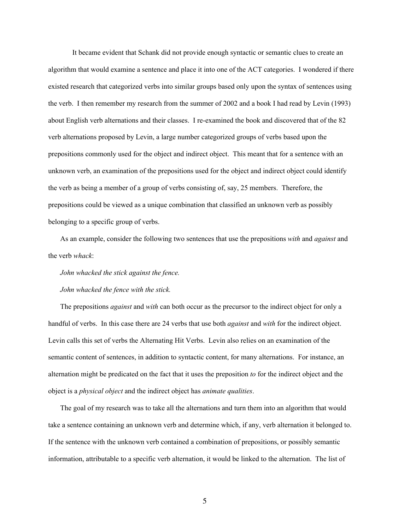It became evident that Schank did not provide enough syntactic or semantic clues to create an algorithm that would examine a sentence and place it into one of the ACT categories. I wondered if there existed research that categorized verbs into similar groups based only upon the syntax of sentences using the verb. I then remember my research from the summer of 2002 and a book I had read by Levin (1993) about English verb alternations and their classes. I re-examined the book and discovered that of the 82 verb alternations proposed by Levin, a large number categorized groups of verbs based upon the prepositions commonly used for the object and indirect object. This meant that for a sentence with an unknown verb, an examination of the prepositions used for the object and indirect object could identify the verb as being a member of a group of verbs consisting of, say, 25 members. Therefore, the prepositions could be viewed as a unique combination that classified an unknown verb as possibly belonging to a specific group of verbs.

As an example, consider the following two sentences that use the prepositions *with* and *against* and the verb *whack*:

*John whacked the stick against the fence.*

#### *John whacked the fence with the stick.*

The prepositions *against* and *with* can both occur as the precursor to the indirect object for only a handful of verbs. In this case there are 24 verbs that use both *against* and *with* for the indirect object. Levin calls this set of verbs the Alternating Hit Verbs. Levin also relies on an examination of the semantic content of sentences, in addition to syntactic content, for many alternations. For instance, an alternation might be predicated on the fact that it uses the preposition *to* for the indirect object and the object is a *physical object* and the indirect object has *animate qualities*.

The goal of my research was to take all the alternations and turn them into an algorithm that would take a sentence containing an unknown verb and determine which, if any, verb alternation it belonged to. If the sentence with the unknown verb contained a combination of prepositions, or possibly semantic information, attributable to a specific verb alternation, it would be linked to the alternation. The list of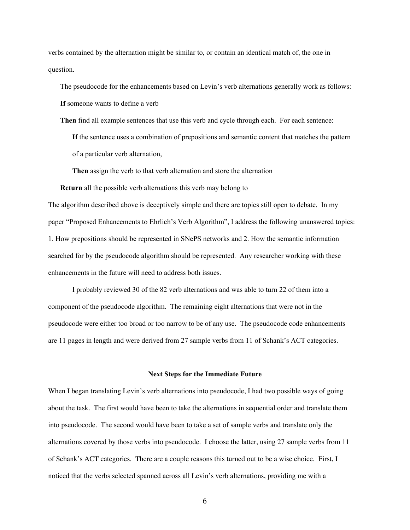verbs contained by the alternation might be similar to, or contain an identical match of, the one in question.

The pseudocode for the enhancements based on Levin's verb alternations generally work as follows: **If** someone wants to define a verb

**Then** find all example sentences that use this verb and cycle through each. For each sentence:

**If** the sentence uses a combination of prepositions and semantic content that matches the pattern of a particular verb alternation,

**Then** assign the verb to that verb alternation and store the alternation

**Return** all the possible verb alternations this verb may belong to

The algorithm described above is deceptively simple and there are topics still open to debate. In my paper "Proposed Enhancements to Ehrlich's Verb Algorithm", I address the following unanswered topics: 1. How prepositions should be represented in SNePS networks and 2. How the semantic information searched for by the pseudocode algorithm should be represented. Any researcher working with these enhancements in the future will need to address both issues.

I probably reviewed 30 of the 82 verb alternations and was able to turn 22 of them into a component of the pseudocode algorithm. The remaining eight alternations that were not in the pseudocode were either too broad or too narrow to be of any use. The pseudocode code enhancements are 11 pages in length and were derived from 27 sample verbs from 11 of Schank's ACT categories.

#### **Next Steps for the Immediate Future**

When I began translating Levin's verb alternations into pseudocode, I had two possible ways of going about the task. The first would have been to take the alternations in sequential order and translate them into pseudocode. The second would have been to take a set of sample verbs and translate only the alternations covered by those verbs into pseudocode. I choose the latter, using 27 sample verbs from 11 of Schank's ACT categories. There are a couple reasons this turned out to be a wise choice. First, I noticed that the verbs selected spanned across all Levin's verb alternations, providing me with a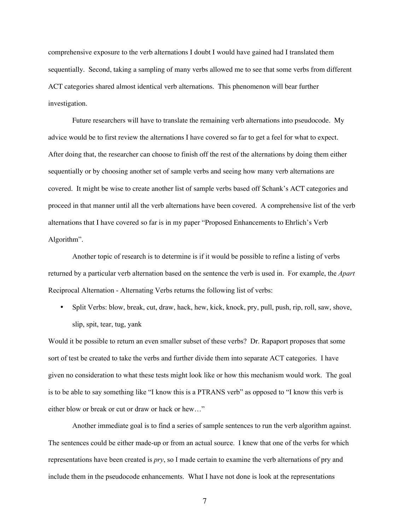comprehensive exposure to the verb alternations I doubt I would have gained had I translated them sequentially. Second, taking a sampling of many verbs allowed me to see that some verbs from different ACT categories shared almost identical verb alternations. This phenomenon will bear further investigation.

Future researchers will have to translate the remaining verb alternations into pseudocode. My advice would be to first review the alternations I have covered so far to get a feel for what to expect. After doing that, the researcher can choose to finish off the rest of the alternations by doing them either sequentially or by choosing another set of sample verbs and seeing how many verb alternations are covered. It might be wise to create another list of sample verbs based off Schank's ACT categories and proceed in that manner until all the verb alternations have been covered. A comprehensive list of the verb alternations that I have covered so far is in my paper "Proposed Enhancements to Ehrlich's Verb Algorithm".

Another topic of research is to determine is if it would be possible to refine a listing of verbs returned by a particular verb alternation based on the sentence the verb is used in. For example, the *Apart* Reciprocal Alternation - Alternating Verbs returns the following list of verbs:

Split Verbs: blow, break, cut, draw, hack, hew, kick, knock, pry, pull, push, rip, roll, saw, shove, slip, spit, tear, tug, yank

Would it be possible to return an even smaller subset of these verbs? Dr. Rapaport proposes that some sort of test be created to take the verbs and further divide them into separate ACT categories. I have given no consideration to what these tests might look like or how this mechanism would work. The goal is to be able to say something like "I know this is a PTRANS verb" as opposed to "I know this verb is either blow or break or cut or draw or hack or hew…"

Another immediate goal is to find a series of sample sentences to run the verb algorithm against. The sentences could be either made-up or from an actual source. I knew that one of the verbs for which representations have been created is *pry*, so I made certain to examine the verb alternations of pry and include them in the pseudocode enhancements. What I have not done is look at the representations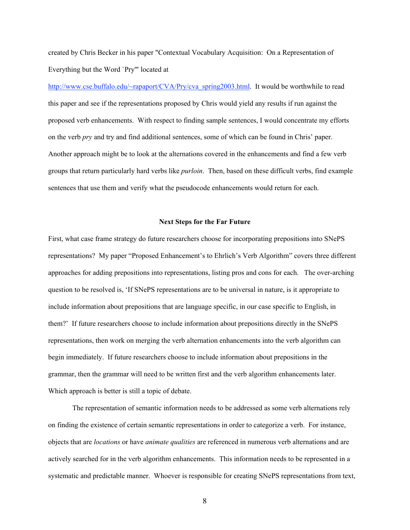created by Chris Becker in his paper "Contextual Vocabulary Acquisition: On a Representation of Everything but the Word `Pry'" located at

http://www.cse.buffalo.edu/~rapaport/CVA/Pry/cva\_spring2003.html. It would be worthwhile to read this paper and see if the representations proposed by Chris would yield any results if run against the proposed verb enhancements. With respect to finding sample sentences, I would concentrate my efforts on the verb *pry* and try and find additional sentences, some of which can be found in Chris' paper. Another approach might be to look at the alternations covered in the enhancements and find a few verb groups that return particularly hard verbs like *purloin*. Then, based on these difficult verbs, find example sentences that use them and verify what the pseudocode enhancements would return for each.

#### **Next Steps for the Far Future**

First, what case frame strategy do future researchers choose for incorporating prepositions into SNePS representations? My paper "Proposed Enhancement's to Ehrlich's Verb Algorithm" covers three different approaches for adding prepositions into representations, listing pros and cons for each. The over-arching question to be resolved is, 'If SNePS representations are to be universal in nature, is it appropriate to include information about prepositions that are language specific, in our case specific to English, in them?' If future researchers choose to include information about prepositions directly in the SNePS representations, then work on merging the verb alternation enhancements into the verb algorithm can begin immediately. If future researchers choose to include information about prepositions in the grammar, then the grammar will need to be written first and the verb algorithm enhancements later. Which approach is better is still a topic of debate.

The representation of semantic information needs to be addressed as some verb alternations rely on finding the existence of certain semantic representations in order to categorize a verb. For instance, objects that are *locations* or have *animate qualities* are referenced in numerous verb alternations and are actively searched for in the verb algorithm enhancements. This information needs to be represented in a systematic and predictable manner. Whoever is responsible for creating SNePS representations from text,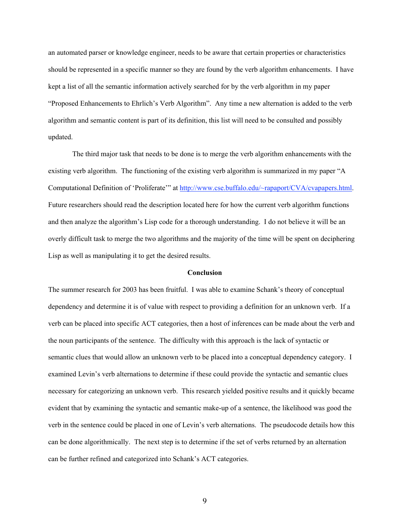an automated parser or knowledge engineer, needs to be aware that certain properties or characteristics should be represented in a specific manner so they are found by the verb algorithm enhancements. I have kept a list of all the semantic information actively searched for by the verb algorithm in my paper "Proposed Enhancements to Ehrlich's Verb Algorithm". Any time a new alternation is added to the verb algorithm and semantic content is part of its definition, this list will need to be consulted and possibly updated.

The third major task that needs to be done is to merge the verb algorithm enhancements with the existing verb algorithm. The functioning of the existing verb algorithm is summarized in my paper "A Computational Definition of 'Proliferate'" at http://www.cse.buffalo.edu/~rapaport/CVA/cvapapers.html. Future researchers should read the description located here for how the current verb algorithm functions and then analyze the algorithm's Lisp code for a thorough understanding. I do not believe it will be an overly difficult task to merge the two algorithms and the majority of the time will be spent on deciphering Lisp as well as manipulating it to get the desired results.

# **Conclusion**

The summer research for 2003 has been fruitful. I was able to examine Schank's theory of conceptual dependency and determine it is of value with respect to providing a definition for an unknown verb. If a verb can be placed into specific ACT categories, then a host of inferences can be made about the verb and the noun participants of the sentence. The difficulty with this approach is the lack of syntactic or semantic clues that would allow an unknown verb to be placed into a conceptual dependency category. I examined Levin's verb alternations to determine if these could provide the syntactic and semantic clues necessary for categorizing an unknown verb. This research yielded positive results and it quickly became evident that by examining the syntactic and semantic make-up of a sentence, the likelihood was good the verb in the sentence could be placed in one of Levin's verb alternations. The pseudocode details how this can be done algorithmically. The next step is to determine if the set of verbs returned by an alternation can be further refined and categorized into Schank's ACT categories.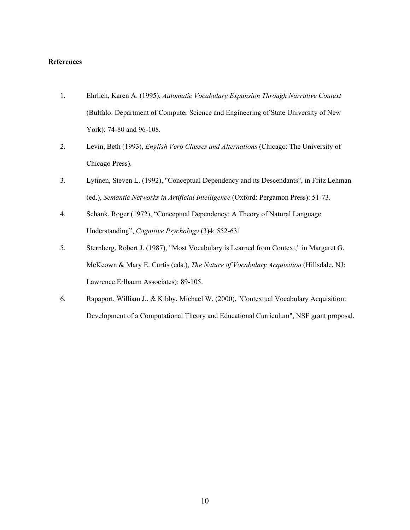#### **References**

- 1. Ehrlich, Karen A. (1995), *Automatic Vocabulary Expansion Through Narrative Context* (Buffalo: Department of Computer Science and Engineering of State University of New York): 74-80 and 96-108.
- 2. Levin, Beth (1993), *English Verb Classes and Alternations* (Chicago: The University of Chicago Press).
- 3. Lytinen, Steven L. (1992), "Conceptual Dependency and its Descendants", in Fritz Lehman (ed.), *Semantic Networks in Artificial Intelligence* (Oxford: Pergamon Press): 51-73.
- 4. Schank, Roger (1972), "Conceptual Dependency: A Theory of Natural Language Understanding", *Cognitive Psychology* (3)4: 552-631
- 5. Sternberg, Robert J. (1987), "Most Vocabulary is Learned from Context," in Margaret G. McKeown & Mary E. Curtis (eds.), *The Nature of Vocabulary Acquisition* (Hillsdale, NJ: Lawrence Erlbaum Associates): 89-105.
- 6. Rapaport, William J., & Kibby, Michael W. (2000), "Contextual Vocabulary Acquisition: Development of a Computational Theory and Educational Curriculum", NSF grant proposal.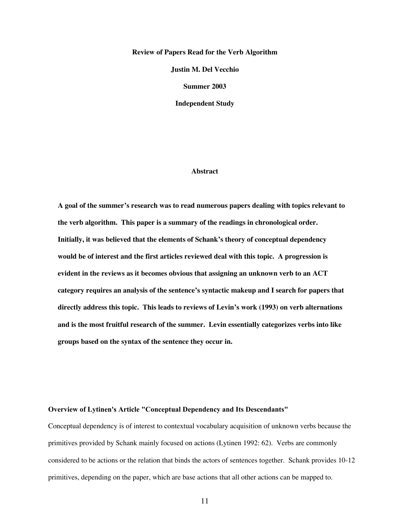#### **Review of Papers Read for the Verb Algorithm**

**Justin M. Del Vecchio**

**Summer 2003**

**Independent Study**

#### **Abstract**

**A goal of the summer's research was to read numerous papers dealing with topics relevant to the verb algorithm. This paper is a summary of the readings in chronological order. Initially, it was believed that the elements of Schank's theory of conceptual dependency would be of interest and the first articles reviewed deal with this topic. A progression is evident in the reviews as it becomes obvious that assigning an unknown verb to an ACT category requires an analysis of the sentence's syntactic makeup and I search for papers that directly address this topic. This leads to reviews of Levin's work (1993) on verb alternations and is the most fruitful research of the summer. Levin essentially categorizes verbs into like groups based on the syntax of the sentence they occur in.**

## **Overview of Lytinen's Article "Conceptual Dependency and Its Descendants"**

Conceptual dependency is of interest to contextual vocabulary acquisition of unknown verbs because the primitives provided by Schank mainly focused on actions (Lytinen 1992: 62). Verbs are commonly considered to be actions or the relation that binds the actors of sentences together. Schank provides 10-12 primitives, depending on the paper, which are base actions that all other actions can be mapped to.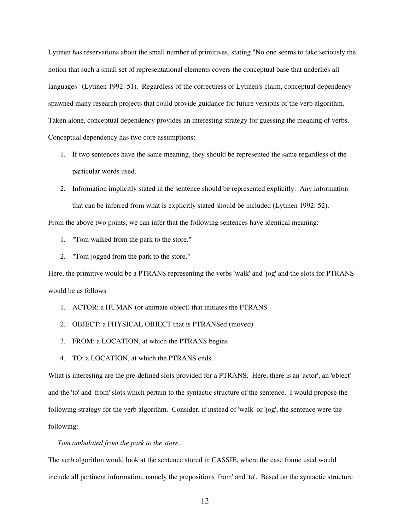Lytinen has reservations about the small number of primitives, stating "No one seems to take seriously the notion that such a small set of representational elements covers the conceptual base that underlies all languages" (Lytinen 1992: 51). Regardless of the correctness of Lytinen's claim, conceptual dependency spawned many research projects that could provide guidance for future versions of the verb algorithm. Taken alone, conceptual dependency provides an interesting strategy for guessing the meaning of verbs. Conceptual dependency has two core assumptions:

- 1. If two sentences have the same meaning, they should be represented the same regardless of the particular words used.
- 2. Information implicitly stated in the sentence should be represented explicitly. Any information that can be inferred from what is explicitly stated should be included (Lytinen 1992: 52).

From the above two points, we can infer that the following sentences have identical meaning:

- 1. "Tom walked from the park to the store."
- 2. "Tom jogged from the park to the store."

Here, the primitive would be a PTRANS representing the verbs 'walk' and 'jog' and the slots for PTRANS would be as follows

- 1. ACTOR: a HUMAN (or animate object) that initiates the PTRANS
- 2. OBJECT: a PHYSICAL OBJECT that is PTRANSed (moved)
- 3. FROM: a LOCATION, at which the PTRANS begins
- 4. TO: a LOCATION, at which the PTRANS ends.

What is interesting are the pre-defined slots provided for a PTRANS. Here, there is an 'actor', an 'object' and the 'to' and 'from' slots which pertain to the syntactic structure of the sentence. I would propose the following strategy for the verb algorithm. Consider, if instead of 'walk' or 'jog', the sentence were the following:

## *Tom ambulated from the park to the store.*

The verb algorithm would look at the sentence stored in CASSIE, where the case frame used would include all pertinent information, namely the prepositions 'from' and 'to'. Based on the syntactic structure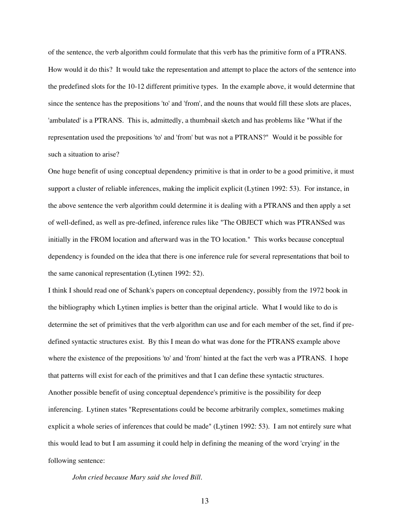of the sentence, the verb algorithm could formulate that this verb has the primitive form of a PTRANS. How would it do this? It would take the representation and attempt to place the actors of the sentence into the predefined slots for the 10-12 different primitive types. In the example above, it would determine that since the sentence has the prepositions 'to' and 'from', and the nouns that would fill these slots are places, 'ambulated' is a PTRANS. This is, admittedly, a thumbnail sketch and has problems like "What if the representation used the prepositions 'to' and 'from' but was not a PTRANS?" Would it be possible for such a situation to arise?

One huge benefit of using conceptual dependency primitive is that in order to be a good primitive, it must support a cluster of reliable inferences, making the implicit explicit (Lytinen 1992: 53). For instance, in the above sentence the verb algorithm could determine it is dealing with a PTRANS and then apply a set of well-defined, as well as pre-defined, inference rules like "The OBJECT which was PTRANSed was initially in the FROM location and afterward was in the TO location." This works because conceptual dependency is founded on the idea that there is one inference rule for several representations that boil to the same canonical representation (Lytinen 1992: 52).

I think I should read one of Schank's papers on conceptual dependency, possibly from the 1972 book in the bibliography which Lytinen implies is better than the original article. What I would like to do is determine the set of primitives that the verb algorithm can use and for each member of the set, find if predefined syntactic structures exist. By this I mean do what was done for the PTRANS example above where the existence of the prepositions 'to' and 'from' hinted at the fact the verb was a PTRANS. I hope that patterns will exist for each of the primitives and that I can define these syntactic structures. Another possible benefit of using conceptual dependence's primitive is the possibility for deep inferencing. Lytinen states "Representations could be become arbitrarily complex, sometimes making explicit a whole series of inferences that could be made" (Lytinen 1992: 53). I am not entirely sure what this would lead to but I am assuming it could help in defining the meaning of the word 'crying' in the following sentence:

*John cried because Mary said she loved Bill.*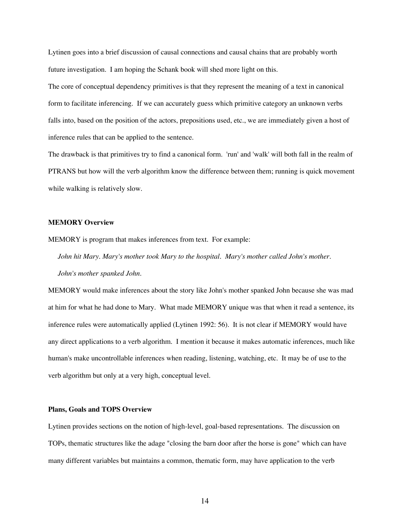Lytinen goes into a brief discussion of causal connections and causal chains that are probably worth future investigation. I am hoping the Schank book will shed more light on this.

The core of conceptual dependency primitives is that they represent the meaning of a text in canonical form to facilitate inferencing. If we can accurately guess which primitive category an unknown verbs falls into, based on the position of the actors, prepositions used, etc., we are immediately given a host of inference rules that can be applied to the sentence.

The drawback is that primitives try to find a canonical form. 'run' and 'walk' will both fall in the realm of PTRANS but how will the verb algorithm know the difference between them; running is quick movement while walking is relatively slow.

#### **MEMORY Overview**

MEMORY is program that makes inferences from text. For example:

*John hit Mary. Mary's mother took Mary to the hospital. Mary's mother called John's mother. John's mother spanked John.*

MEMORY would make inferences about the story like John's mother spanked John because she was mad at him for what he had done to Mary. What made MEMORY unique was that when it read a sentence, its inference rules were automatically applied (Lytinen 1992: 56). It is not clear if MEMORY would have any direct applications to a verb algorithm. I mention it because it makes automatic inferences, much like human's make uncontrollable inferences when reading, listening, watching, etc. It may be of use to the verb algorithm but only at a very high, conceptual level.

#### **Plans, Goals and TOPS Overview**

Lytinen provides sections on the notion of high-level, goal-based representations. The discussion on TOPs, thematic structures like the adage "closing the barn door after the horse is gone" which can have many different variables but maintains a common, thematic form, may have application to the verb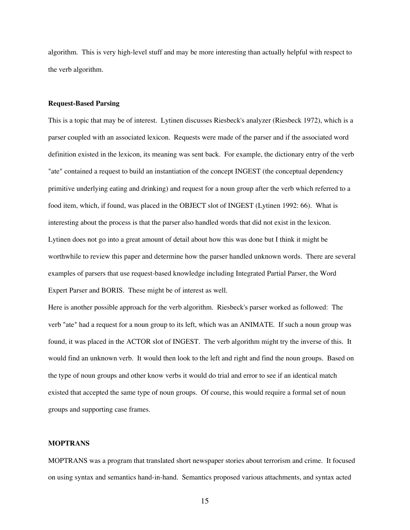algorithm. This is very high-level stuff and may be more interesting than actually helpful with respect to the verb algorithm.

#### **Request-Based Parsing**

This is a topic that may be of interest. Lytinen discusses Riesbeck's analyzer (Riesbeck 1972), which is a parser coupled with an associated lexicon. Requests were made of the parser and if the associated word definition existed in the lexicon, its meaning was sent back. For example, the dictionary entry of the verb "ate" contained a request to build an instantiation of the concept INGEST (the conceptual dependency primitive underlying eating and drinking) and request for a noun group after the verb which referred to a food item, which, if found, was placed in the OBJECT slot of INGEST (Lytinen 1992: 66). What is interesting about the process is that the parser also handled words that did not exist in the lexicon. Lytinen does not go into a great amount of detail about how this was done but I think it might be worthwhile to review this paper and determine how the parser handled unknown words. There are several examples of parsers that use request-based knowledge including Integrated Partial Parser, the Word Expert Parser and BORIS. These might be of interest as well.

Here is another possible approach for the verb algorithm. Riesbeck's parser worked as followed: The verb "ate" had a request for a noun group to its left, which was an ANIMATE. If such a noun group was found, it was placed in the ACTOR slot of INGEST. The verb algorithm might try the inverse of this. It would find an unknown verb. It would then look to the left and right and find the noun groups. Based on the type of noun groups and other know verbs it would do trial and error to see if an identical match existed that accepted the same type of noun groups. Of course, this would require a formal set of noun groups and supporting case frames.

## **MOPTRANS**

MOPTRANS was a program that translated short newspaper stories about terrorism and crime. It focused on using syntax and semantics hand-in-hand. Semantics proposed various attachments, and syntax acted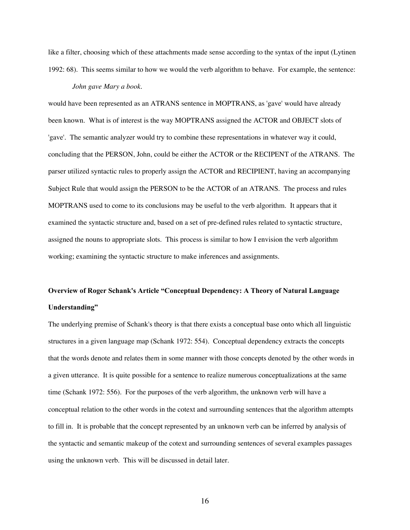like a filter, choosing which of these attachments made sense according to the syntax of the input (Lytinen 1992: 68). This seems similar to how we would the verb algorithm to behave. For example, the sentence:

### *John gave Mary a book.*

would have been represented as an ATRANS sentence in MOPTRANS, as 'gave' would have already been known. What is of interest is the way MOPTRANS assigned the ACTOR and OBJECT slots of 'gave'. The semantic analyzer would try to combine these representations in whatever way it could, concluding that the PERSON, John, could be either the ACTOR or the RECIPENT of the ATRANS. The parser utilized syntactic rules to properly assign the ACTOR and RECIPIENT, having an accompanying Subject Rule that would assign the PERSON to be the ACTOR of an ATRANS. The process and rules MOPTRANS used to come to its conclusions may be useful to the verb algorithm. It appears that it examined the syntactic structure and, based on a set of pre-defined rules related to syntactic structure, assigned the nouns to appropriate slots. This process is similar to how I envision the verb algorithm working; examining the syntactic structure to make inferences and assignments.

# **Overview of Roger Schank's Article "Conceptual Dependency: A Theory of Natural Language Understanding"**

The underlying premise of Schank's theory is that there exists a conceptual base onto which all linguistic structures in a given language map (Schank 1972: 554). Conceptual dependency extracts the concepts that the words denote and relates them in some manner with those concepts denoted by the other words in a given utterance. It is quite possible for a sentence to realize numerous conceptualizations at the same time (Schank 1972: 556). For the purposes of the verb algorithm, the unknown verb will have a conceptual relation to the other words in the cotext and surrounding sentences that the algorithm attempts to fill in. It is probable that the concept represented by an unknown verb can be inferred by analysis of the syntactic and semantic makeup of the cotext and surrounding sentences of several examples passages using the unknown verb. This will be discussed in detail later.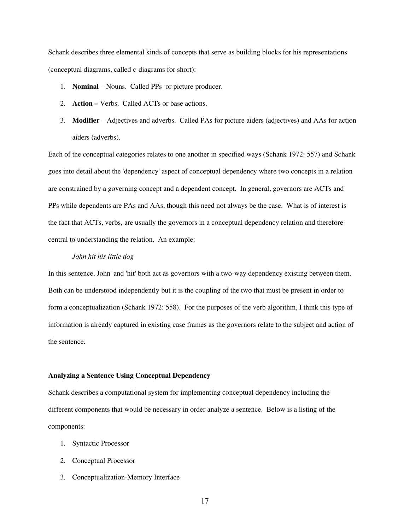Schank describes three elemental kinds of concepts that serve as building blocks for his representations (conceptual diagrams, called c-diagrams for short):

- 1. **Nominal** Nouns. Called PPs or picture producer.
- 2. **Action –** Verbs. Called ACTs or base actions.
- 3. **Modifier** Adjectives and adverbs. Called PAs for picture aiders (adjectives) and AAs for action aiders (adverbs).

Each of the conceptual categories relates to one another in specified ways (Schank 1972: 557) and Schank goes into detail about the 'dependency' aspect of conceptual dependency where two concepts in a relation are constrained by a governing concept and a dependent concept. In general, governors are ACTs and PPs while dependents are PAs and AAs, though this need not always be the case. What is of interest is the fact that ACTs, verbs, are usually the governors in a conceptual dependency relation and therefore central to understanding the relation. An example:

## *John hit his little dog*

In this sentence, John' and 'hit' both act as governors with a two-way dependency existing between them. Both can be understood independently but it is the coupling of the two that must be present in order to form a conceptualization (Schank 1972: 558). For the purposes of the verb algorithm, I think this type of information is already captured in existing case frames as the governors relate to the subject and action of the sentence.

#### **Analyzing a Sentence Using Conceptual Dependency**

Schank describes a computational system for implementing conceptual dependency including the different components that would be necessary in order analyze a sentence. Below is a listing of the components:

- 1. Syntactic Processor
- 2. Conceptual Processor
- 3. Conceptualization-Memory Interface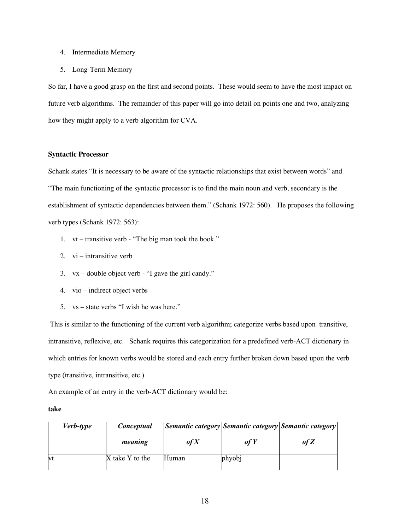- 4. Intermediate Memory
- 5. Long-Term Memory

So far, I have a good grasp on the first and second points. These would seem to have the most impact on future verb algorithms. The remainder of this paper will go into detail on points one and two, analyzing how they might apply to a verb algorithm for CVA.

# **Syntactic Processor**

Schank states "It is necessary to be aware of the syntactic relationships that exist between words" and "The main functioning of the syntactic processor is to find the main noun and verb, secondary is the establishment of syntactic dependencies between them." (Schank 1972: 560). He proposes the following verb types (Schank 1972: 563):

- 1. vt transitive verb "The big man took the book."
- 2. vi intransitive verb
- 3. vx double object verb "I gave the girl candy."
- 4. vio indirect object verbs
- 5. vs state verbs "I wish he was here."

 This is similar to the functioning of the current verb algorithm; categorize verbs based upon transitive, intransitive, reflexive, etc. Schank requires this categorization for a predefined verb-ACT dictionary in which entries for known verbs would be stored and each entry further broken down based upon the verb type (transitive, intransitive, etc.)

An example of an entry in the verb-ACT dictionary would be:

#### **take**

| <i>Verb-type</i> | Conceptual      |       |        | <i>Semantic category Semantic category Semantic category</i> |
|------------------|-----------------|-------|--------|--------------------------------------------------------------|
|                  | meaning         | of X  | $of Y$ | of Z                                                         |
| vt               | X take Y to the | Human | phyobj |                                                              |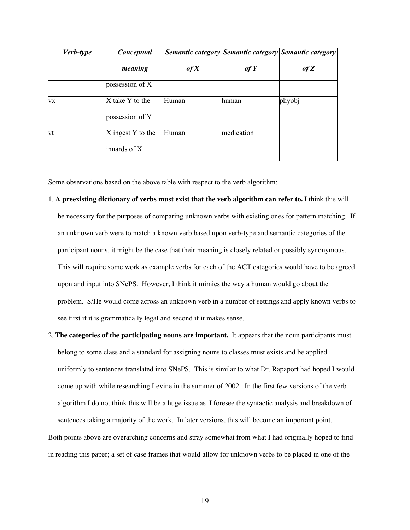| <i>Verb-type</i> | Conceptual                         |       |            | Semantic category Semantic category Semantic category |
|------------------|------------------------------------|-------|------------|-------------------------------------------------------|
|                  | meaning                            | of X  | of Y       | of Z                                                  |
|                  | possession of X                    |       |            |                                                       |
| VX               | X take Y to the<br>possession of Y | Human | human      | phyobj                                                |
| vt               | X ingest Y to the                  | Human | medication |                                                       |
|                  | innards of X                       |       |            |                                                       |

Some observations based on the above table with respect to the verb algorithm:

- 1. **A preexisting dictionary of verbs must exist that the verb algorithm can refer to.** I think this will be necessary for the purposes of comparing unknown verbs with existing ones for pattern matching. If an unknown verb were to match a known verb based upon verb-type and semantic categories of the participant nouns, it might be the case that their meaning is closely related or possibly synonymous. This will require some work as example verbs for each of the ACT categories would have to be agreed upon and input into SNePS. However, I think it mimics the way a human would go about the problem. S/He would come across an unknown verb in a number of settings and apply known verbs to see first if it is grammatically legal and second if it makes sense.
- 2. **The categories of the participating nouns are important.** It appears that the noun participants must belong to some class and a standard for assigning nouns to classes must exists and be applied uniformly to sentences translated into SNePS. This is similar to what Dr. Rapaport had hoped I would come up with while researching Levine in the summer of 2002. In the first few versions of the verb algorithm I do not think this will be a huge issue as I foresee the syntactic analysis and breakdown of sentences taking a majority of the work. In later versions, this will become an important point.

Both points above are overarching concerns and stray somewhat from what I had originally hoped to find in reading this paper; a set of case frames that would allow for unknown verbs to be placed in one of the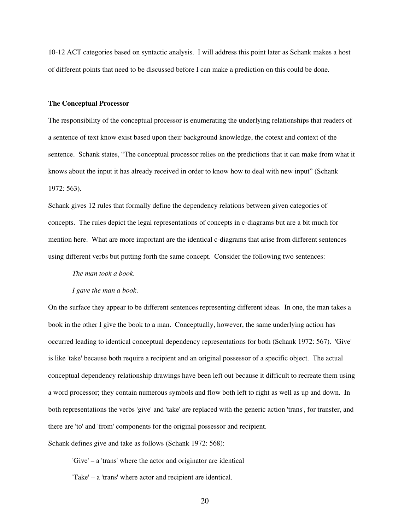10-12 ACT categories based on syntactic analysis. I will address this point later as Schank makes a host of different points that need to be discussed before I can make a prediction on this could be done.

#### **The Conceptual Processor**

The responsibility of the conceptual processor is enumerating the underlying relationships that readers of a sentence of text know exist based upon their background knowledge, the cotext and context of the sentence. Schank states, "The conceptual processor relies on the predictions that it can make from what it knows about the input it has already received in order to know how to deal with new input" (Schank 1972: 563).

Schank gives 12 rules that formally define the dependency relations between given categories of concepts. The rules depict the legal representations of concepts in c-diagrams but are a bit much for mention here. What are more important are the identical c-diagrams that arise from different sentences using different verbs but putting forth the same concept. Consider the following two sentences:

*The man took a book.*

#### *I gave the man a book.*

On the surface they appear to be different sentences representing different ideas. In one, the man takes a book in the other I give the book to a man. Conceptually, however, the same underlying action has occurred leading to identical conceptual dependency representations for both (Schank 1972: 567). 'Give' is like 'take' because both require a recipient and an original possessor of a specific object. The actual conceptual dependency relationship drawings have been left out because it difficult to recreate them using a word processor; they contain numerous symbols and flow both left to right as well as up and down. In both representations the verbs 'give' and 'take' are replaced with the generic action 'trans', for transfer, and there are 'to' and 'from' components for the original possessor and recipient.

Schank defines give and take as follows (Schank 1972: 568):

'Give' – a 'trans' where the actor and originator are identical

'Take' – a 'trans' where actor and recipient are identical.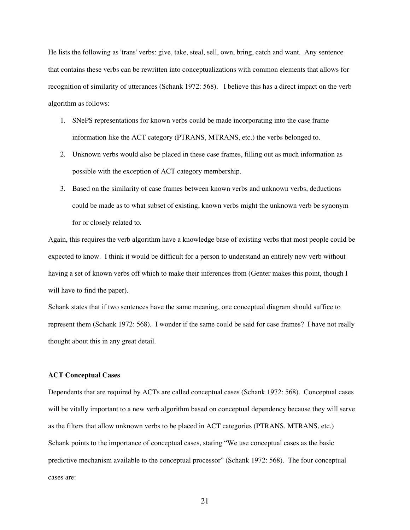He lists the following as 'trans' verbs: give, take, steal, sell, own, bring, catch and want. Any sentence that contains these verbs can be rewritten into conceptualizations with common elements that allows for recognition of similarity of utterances (Schank 1972: 568). I believe this has a direct impact on the verb algorithm as follows:

- 1. SNePS representations for known verbs could be made incorporating into the case frame information like the ACT category (PTRANS, MTRANS, etc.) the verbs belonged to.
- 2. Unknown verbs would also be placed in these case frames, filling out as much information as possible with the exception of ACT category membership.
- 3. Based on the similarity of case frames between known verbs and unknown verbs, deductions could be made as to what subset of existing, known verbs might the unknown verb be synonym for or closely related to.

Again, this requires the verb algorithm have a knowledge base of existing verbs that most people could be expected to know. I think it would be difficult for a person to understand an entirely new verb without having a set of known verbs off which to make their inferences from (Genter makes this point, though I will have to find the paper).

Schank states that if two sentences have the same meaning, one conceptual diagram should suffice to represent them (Schank 1972: 568). I wonder if the same could be said for case frames? I have not really thought about this in any great detail.

## **ACT Conceptual Cases**

Dependents that are required by ACTs are called conceptual cases (Schank 1972: 568). Conceptual cases will be vitally important to a new verb algorithm based on conceptual dependency because they will serve as the filters that allow unknown verbs to be placed in ACT categories (PTRANS, MTRANS, etc.) Schank points to the importance of conceptual cases, stating "We use conceptual cases as the basic predictive mechanism available to the conceptual processor" (Schank 1972: 568). The four conceptual cases are: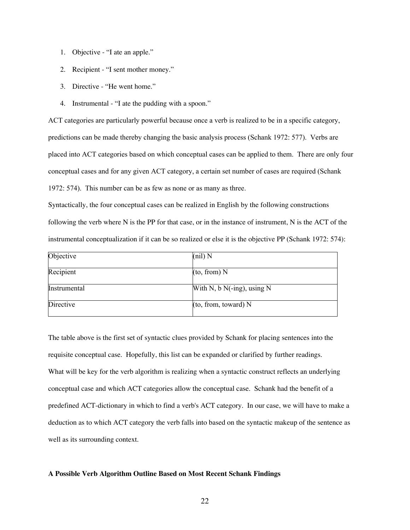- 1. Objective "I ate an apple."
- 2. Recipient "I sent mother money."
- 3. Directive "He went home."
- 4. Instrumental "I ate the pudding with a spoon."

ACT categories are particularly powerful because once a verb is realized to be in a specific category, predictions can be made thereby changing the basic analysis process (Schank 1972: 577). Verbs are placed into ACT categories based on which conceptual cases can be applied to them. There are only four conceptual cases and for any given ACT category, a certain set number of cases are required (Schank 1972: 574). This number can be as few as none or as many as three.

Syntactically, the four conceptual cases can be realized in English by the following constructions following the verb where N is the PP for that case, or in the instance of instrument, N is the ACT of the instrumental conceptualization if it can be so realized or else it is the objective PP (Schank 1972: 574):

| Objective    | $(nil)$ N                     |
|--------------|-------------------------------|
| Recipient    | (to, from) N                  |
| Instrumental | With N, b $N(-ing)$ , using N |
| Directive    | (to, from, toward) N          |

The table above is the first set of syntactic clues provided by Schank for placing sentences into the requisite conceptual case. Hopefully, this list can be expanded or clarified by further readings. What will be key for the verb algorithm is realizing when a syntactic construct reflects an underlying conceptual case and which ACT categories allow the conceptual case. Schank had the benefit of a predefined ACT-dictionary in which to find a verb's ACT category. In our case, we will have to make a deduction as to which ACT category the verb falls into based on the syntactic makeup of the sentence as well as its surrounding context.

#### **A Possible Verb Algorithm Outline Based on Most Recent Schank Findings**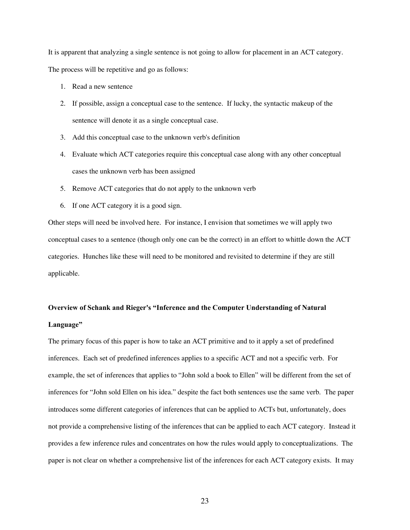It is apparent that analyzing a single sentence is not going to allow for placement in an ACT category. The process will be repetitive and go as follows:

- 1. Read a new sentence
- 2. If possible, assign a conceptual case to the sentence. If lucky, the syntactic makeup of the sentence will denote it as a single conceptual case.
- 3. Add this conceptual case to the unknown verb's definition
- 4. Evaluate which ACT categories require this conceptual case along with any other conceptual cases the unknown verb has been assigned
- 5. Remove ACT categories that do not apply to the unknown verb
- 6. If one ACT category it is a good sign.

Other steps will need be involved here. For instance, I envision that sometimes we will apply two conceptual cases to a sentence (though only one can be the correct) in an effort to whittle down the ACT categories. Hunches like these will need to be monitored and revisited to determine if they are still applicable.

# **Overview of Schank and Rieger's "Inference and the Computer Understanding of Natural Language"**

The primary focus of this paper is how to take an ACT primitive and to it apply a set of predefined inferences. Each set of predefined inferences applies to a specific ACT and not a specific verb. For example, the set of inferences that applies to "John sold a book to Ellen" will be different from the set of inferences for "John sold Ellen on his idea." despite the fact both sentences use the same verb. The paper introduces some different categories of inferences that can be applied to ACTs but, unfortunately, does not provide a comprehensive listing of the inferences that can be applied to each ACT category. Instead it provides a few inference rules and concentrates on how the rules would apply to conceptualizations. The paper is not clear on whether a comprehensive list of the inferences for each ACT category exists. It may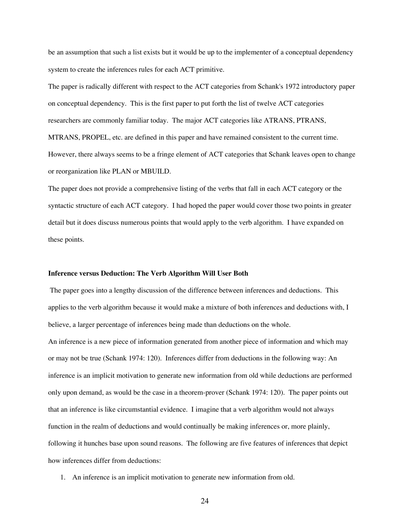be an assumption that such a list exists but it would be up to the implementer of a conceptual dependency system to create the inferences rules for each ACT primitive.

The paper is radically different with respect to the ACT categories from Schank's 1972 introductory paper on conceptual dependency. This is the first paper to put forth the list of twelve ACT categories researchers are commonly familiar today. The major ACT categories like ATRANS, PTRANS, MTRANS, PROPEL, etc. are defined in this paper and have remained consistent to the current time. However, there always seems to be a fringe element of ACT categories that Schank leaves open to change or reorganization like PLAN or MBUILD.

The paper does not provide a comprehensive listing of the verbs that fall in each ACT category or the syntactic structure of each ACT category. I had hoped the paper would cover those two points in greater detail but it does discuss numerous points that would apply to the verb algorithm. I have expanded on these points.

#### **Inference versus Deduction: The Verb Algorithm Will User Both**

 The paper goes into a lengthy discussion of the difference between inferences and deductions. This applies to the verb algorithm because it would make a mixture of both inferences and deductions with, I believe, a larger percentage of inferences being made than deductions on the whole. An inference is a new piece of information generated from another piece of information and which may or may not be true (Schank 1974: 120). Inferences differ from deductions in the following way: An inference is an implicit motivation to generate new information from old while deductions are performed only upon demand, as would be the case in a theorem-prover (Schank 1974: 120). The paper points out that an inference is like circumstantial evidence. I imagine that a verb algorithm would not always function in the realm of deductions and would continually be making inferences or, more plainly, following it hunches base upon sound reasons. The following are five features of inferences that depict how inferences differ from deductions:

1. An inference is an implicit motivation to generate new information from old.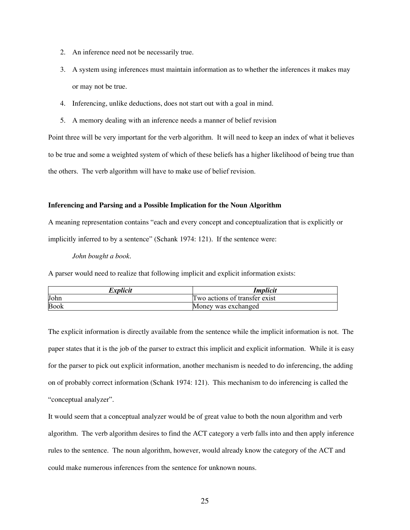- 2. An inference need not be necessarily true.
- 3. A system using inferences must maintain information as to whether the inferences it makes may or may not be true.
- 4. Inferencing, unlike deductions, does not start out with a goal in mind.
- 5. A memory dealing with an inference needs a manner of belief revision

Point three will be very important for the verb algorithm. It will need to keep an index of what it believes to be true and some a weighted system of which of these beliefs has a higher likelihood of being true than the others. The verb algorithm will have to make use of belief revision.

#### **Inferencing and Parsing and a Possible Implication for the Noun Algorithm**

A meaning representation contains "each and every concept and conceptualization that is explicitly or implicitly inferred to by a sentence" (Schank 1974: 121). If the sentence were:

## *John bought a book.*

A parser would need to realize that following implicit and explicit information exists:

| <i>Explicit</i> | Implicit                      |
|-----------------|-------------------------------|
| John            | Two actions of transfer exist |
| Book            | Money was exchanged           |

The explicit information is directly available from the sentence while the implicit information is not. The paper states that it is the job of the parser to extract this implicit and explicit information. While it is easy for the parser to pick out explicit information, another mechanism is needed to do inferencing, the adding on of probably correct information (Schank 1974: 121). This mechanism to do inferencing is called the "conceptual analyzer".

It would seem that a conceptual analyzer would be of great value to both the noun algorithm and verb algorithm. The verb algorithm desires to find the ACT category a verb falls into and then apply inference rules to the sentence. The noun algorithm, however, would already know the category of the ACT and could make numerous inferences from the sentence for unknown nouns.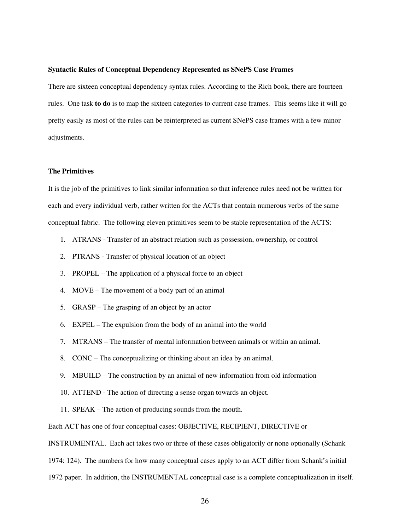#### **Syntactic Rules of Conceptual Dependency Represented as SNePS Case Frames**

There are sixteen conceptual dependency syntax rules. According to the Rich book, there are fourteen rules. One task **to do** is to map the sixteen categories to current case frames. This seems like it will go pretty easily as most of the rules can be reinterpreted as current SNePS case frames with a few minor adjustments.

## **The Primitives**

It is the job of the primitives to link similar information so that inference rules need not be written for each and every individual verb, rather written for the ACTs that contain numerous verbs of the same conceptual fabric. The following eleven primitives seem to be stable representation of the ACTS:

- 1. ATRANS Transfer of an abstract relation such as possession, ownership, or control
- 2. PTRANS Transfer of physical location of an object
- 3. PROPEL The application of a physical force to an object
- 4. MOVE The movement of a body part of an animal
- 5. GRASP The grasping of an object by an actor
- 6. EXPEL The expulsion from the body of an animal into the world
- 7. MTRANS The transfer of mental information between animals or within an animal.
- 8. CONC The conceptualizing or thinking about an idea by an animal.
- 9. MBUILD The construction by an animal of new information from old information
- 10. ATTEND The action of directing a sense organ towards an object.
- 11. SPEAK The action of producing sounds from the mouth.

Each ACT has one of four conceptual cases: OBJECTIVE, RECIPIENT, DIRECTIVE or

INSTRUMENTAL. Each act takes two or three of these cases obligatorily or none optionally (Schank

1974: 124). The numbers for how many conceptual cases apply to an ACT differ from Schank's initial

1972 paper. In addition, the INSTRUMENTAL conceptual case is a complete conceptualization in itself.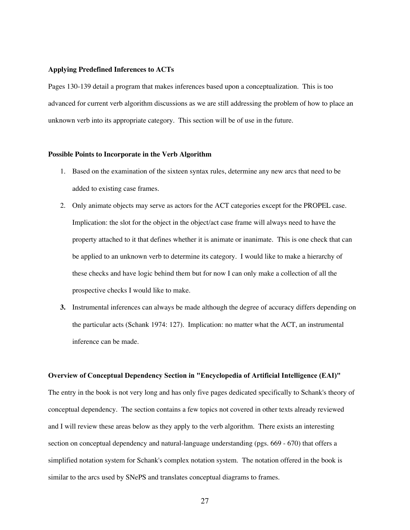#### **Applying Predefined Inferences to ACTs**

Pages 130-139 detail a program that makes inferences based upon a conceptualization. This is too advanced for current verb algorithm discussions as we are still addressing the problem of how to place an unknown verb into its appropriate category. This section will be of use in the future.

#### **Possible Points to Incorporate in the Verb Algorithm**

- 1. Based on the examination of the sixteen syntax rules, determine any new arcs that need to be added to existing case frames.
- 2. Only animate objects may serve as actors for the ACT categories except for the PROPEL case. Implication: the slot for the object in the object/act case frame will always need to have the property attached to it that defines whether it is animate or inanimate. This is one check that can be applied to an unknown verb to determine its category. I would like to make a hierarchy of these checks and have logic behind them but for now I can only make a collection of all the prospective checks I would like to make.
- **3.** Instrumental inferences can always be made although the degree of accuracy differs depending on the particular acts (Schank 1974: 127). Implication: no matter what the ACT, an instrumental inference can be made.

## **Overview of Conceptual Dependency Section in "Encyclopedia of Artificial Intelligence (EAI)"**

The entry in the book is not very long and has only five pages dedicated specifically to Schank's theory of conceptual dependency. The section contains a few topics not covered in other texts already reviewed and I will review these areas below as they apply to the verb algorithm. There exists an interesting section on conceptual dependency and natural-language understanding (pgs. 669 - 670) that offers a simplified notation system for Schank's complex notation system. The notation offered in the book is similar to the arcs used by SNePS and translates conceptual diagrams to frames.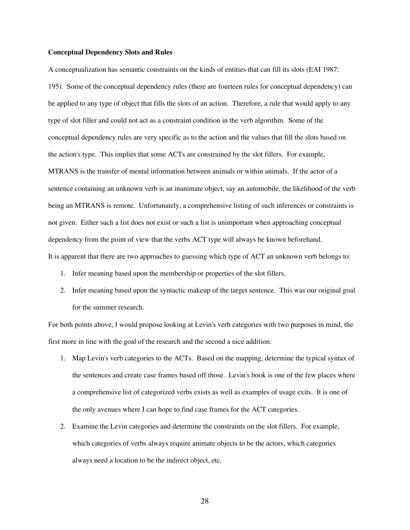#### **Conceptual Dependency Slots and Rules**

A conceptualization has semantic constraints on the kinds of entities that can fill its slots (EAI 1987: 195). Some of the conceptual dependency rules (there are fourteen rules for conceptual dependency) can be applied to any type of object that fills the slots of an action. Therefore, a rule that would apply to any type of slot filler and could not act as a constraint condition in the verb algorithm. Some of the conceptual dependency rules are very specific as to the action and the values that fill the slots based on the action's type. This implies that some ACTs are constrained by the slot fillers. For example, MTRANS is the transfer of mental information between animals or within animals. If the actor of a sentence containing an unknown verb is an inanimate object, say an automobile, the likelihood of the verb being an MTRANS is remote. Unfortunately, a comprehensive listing of such inferences or constraints is not given. Either such a list does not exist or such a list is unimportant when approaching conceptual dependency from the point of view that the verbs ACT type will always be known beforehand. It is apparent that there are two approaches to guessing which type of ACT an unknown verb belongs to:

- 1. Infer meaning based upon the membership or properties of the slot fillers.
- 2. Infer meaning based upon the syntactic makeup of the target sentence. This was our original goal for the summer research.

For both points above, I would propose looking at Levin's verb categories with two purposes in mind, the first more in line with the goal of the research and the second a nice addition:

- 1. Map Levin's verb categories to the ACTs. Based on the mapping, determine the typical syntax of the sentences and create case frames based off those. Levin's book is one of the few places where a comprehensive list of categorized verbs exists as well as examples of usage exits. It is one of the only avenues where I can hope to find case frames for the ACT categories.
- 2. Examine the Levin categories and determine the constraints on the slot fillers. For example, which categories of verbs always require animate objects to be the actors, which categories always need a location to be the indirect object, etc.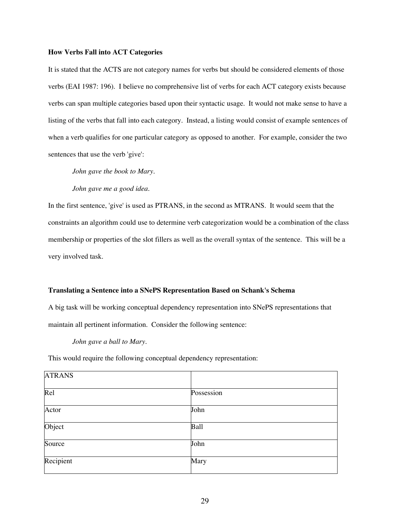#### **How Verbs Fall into ACT Categories**

It is stated that the ACTS are not category names for verbs but should be considered elements of those verbs (EAI 1987: 196). I believe no comprehensive list of verbs for each ACT category exists because verbs can span multiple categories based upon their syntactic usage. It would not make sense to have a listing of the verbs that fall into each category. Instead, a listing would consist of example sentences of when a verb qualifies for one particular category as opposed to another. For example, consider the two sentences that use the verb 'give':

*John gave the book to Mary.*

*John gave me a good idea.*

In the first sentence, 'give' is used as PTRANS, in the second as MTRANS. It would seem that the constraints an algorithm could use to determine verb categorization would be a combination of the class membership or properties of the slot fillers as well as the overall syntax of the sentence. This will be a very involved task.

## **Translating a Sentence into a SNePS Representation Based on Schank's Schema**

A big task will be working conceptual dependency representation into SNePS representations that maintain all pertinent information. Consider the following sentence:

*John gave a ball to Mary.*

This would require the following conceptual dependency representation:

| <b>ATRANS</b> |            |  |
|---------------|------------|--|
| Rel           | Possession |  |
| Actor         | John       |  |
| Object        | Ball       |  |
| Source        | John       |  |
| Recipient     | Mary       |  |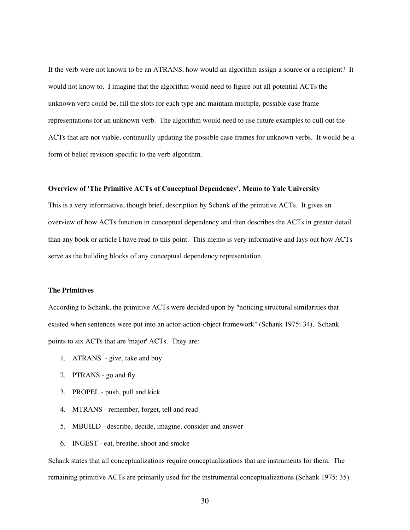If the verb were not known to be an ATRANS, how would an algorithm assign a source or a recipient? It would not know to. I imagine that the algorithm would need to figure out all potential ACTs the unknown verb could be, fill the slots for each type and maintain multiple, possible case frame representations for an unknown verb. The algorithm would need to use future examples to cull out the ACTs that are not viable, continually updating the possible case frames for unknown verbs. It would be a form of belief revision specific to the verb algorithm.

# **Overview of 'The Primitive ACTs of Conceptual Dependency', Memo to Yale University**

This is a very informative, though brief, description by Schank of the primitive ACTs. It gives an overview of how ACTs function in conceptual dependency and then describes the ACTs in greater detail than any book or article I have read to this point. This memo is very informative and lays out how ACTs serve as the building blocks of any conceptual dependency representation.

## **The Primitives**

According to Schank, the primitive ACTs were decided upon by "noticing structural similarities that existed when sentences were put into an actor-action-object framework" (Schank 1975: 34). Schank points to six ACTs that are 'major' ACTs. They are:

- 1. ATRANS give, take and buy
- 2. PTRANS go and fly
- 3. PROPEL push, pull and kick
- 4. MTRANS remember, forget, tell and read
- 5. MBUILD describe, decide, imagine, consider and answer
- 6. INGEST eat, breathe, shoot and smoke

Schank states that all conceptualizations require conceptualizations that are instruments for them. The remaining primitive ACTs are primarily used for the instrumental conceptualizations (Schank 1975: 35).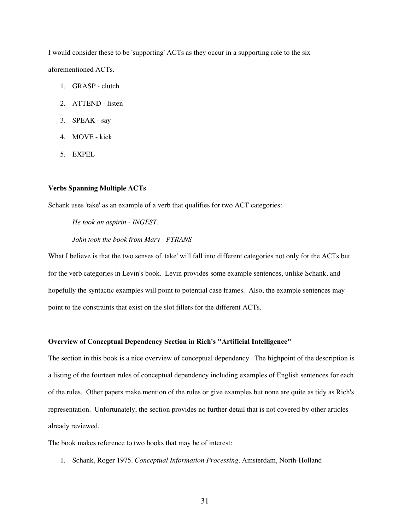I would consider these to be 'supporting' ACTs as they occur in a supporting role to the six aforementioned ACTs.

- 1. GRASP clutch
- 2. ATTEND listen
- 3. SPEAK say
- 4. MOVE kick
- 5. EXPEL

## **Verbs Spanning Multiple ACTs**

Schank uses 'take' as an example of a verb that qualifies for two ACT categories:

*He took an aspirin - INGEST. John took the book from Mary - PTRANS*

What I believe is that the two senses of 'take' will fall into different categories not only for the ACTs but for the verb categories in Levin's book. Levin provides some example sentences, unlike Schank, and hopefully the syntactic examples will point to potential case frames. Also, the example sentences may point to the constraints that exist on the slot fillers for the different ACTs.

#### **Overview of Conceptual Dependency Section in Rich's "Artificial Intelligence"**

The section in this book is a nice overview of conceptual dependency. The highpoint of the description is a listing of the fourteen rules of conceptual dependency including examples of English sentences for each of the rules. Other papers make mention of the rules or give examples but none are quite as tidy as Rich's representation. Unfortunately, the section provides no further detail that is not covered by other articles already reviewed.

The book makes reference to two books that may be of interest:

1. Schank, Roger 1975. *Conceptual Information Processing.* Amsterdam, North-Holland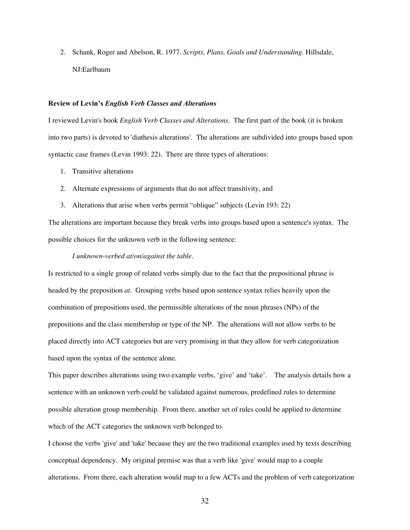2. Schank, Roger and Abelson, R. 1977. *Scripts, Plans, Goals and Understanding*. Hillsdale, NJ:Earlbaum

## **Review of Levin's** *English Verb Classes and Alterations*

I reviewed Levin's book *English Verb Classes and Alterations*. The first part of the book (it is broken into two parts) is devoted to 'diathesis alterations'. The alterations are subdivided into groups based upon syntactic case frames (Levin 1993: 22). There are three types of alterations:

- 1. Transitive alterations
- 2. Alternate expressions of arguments that do not affect transitivity, and
- 3. Alterations that arise when verbs permit "oblique" subjects (Levin 193: 22)

The alterations are important because they break verbs into groups based upon a sentence's syntax. The possible choices for the unknown verb in the following sentence:

#### *I unknown-verbed at/on/against the table.*

Is restricted to a single group of related verbs simply due to the fact that the prepositional phrase is headed by the preposition *at*. Grouping verbs based upon sentence syntax relies heavily upon the combination of prepositions used, the permissible alterations of the noun phrases (NPs) of the prepositions and the class membership or type of the NP. The alterations will not allow verbs to be placed directly into ACT categories but are very promising in that they allow for verb categorization based upon the syntax of the sentence alone.

This paper describes alterations using two example verbs, 'give' and 'take'. The analysis details how a sentence with an unknown verb could be validated against numerous, predefined rules to determine possible alteration group membership. From there, another set of rules could be applied to determine which of the ACT categories the unknown verb belonged to.

I choose the verbs 'give' and 'take' because they are the two traditional examples used by texts describing conceptual dependency. My original premise was that a verb like 'give' would map to a couple alterations. From there, each alteration would map to a few ACTs and the problem of verb categorization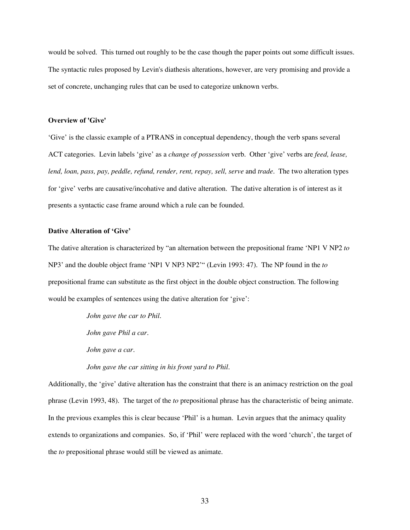would be solved. This turned out roughly to be the case though the paper points out some difficult issues. The syntactic rules proposed by Levin's diathesis alterations, however, are very promising and provide a set of concrete, unchanging rules that can be used to categorize unknown verbs.

## **Overview of 'Give'**

'Give' is the classic example of a PTRANS in conceptual dependency, though the verb spans several ACT categories. Levin labels 'give' as a *change of possession* verb. Other 'give' verbs are *feed, lease, lend, loan, pass, pay, peddle, refund, render, rent, repay, sell, serve and <i>trade*. The two alteration types for 'give' verbs are causative/incohative and dative alteration. The dative alteration is of interest as it presents a syntactic case frame around which a rule can be founded.

#### **Dative Alteration of 'Give'**

The dative alteration is characterized by "an alternation between the prepositional frame 'NP1 V NP2 *to* NP3' and the double object frame 'NP1 V NP3 NP2'" (Levin 1993: 47). The NP found in the *to* prepositional frame can substitute as the first object in the double object construction. The following would be examples of sentences using the dative alteration for 'give':

> *John gave the car to Phil. John gave Phil a car. John gave a car. John gave the car sitting in his front yard to Phil.*

Additionally, the 'give' dative alteration has the constraint that there is an animacy restriction on the goal phrase (Levin 1993, 48). The target of the *to* prepositional phrase has the characteristic of being animate. In the previous examples this is clear because 'Phil' is a human. Levin argues that the animacy quality extends to organizations and companies. So, if 'Phil' were replaced with the word 'church', the target of the *to* prepositional phrase would still be viewed as animate.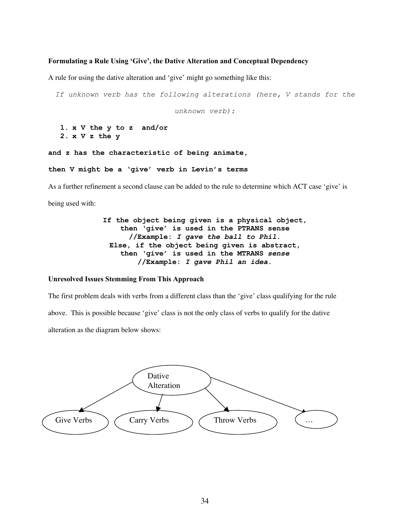#### **Formulating a Rule Using 'Give', the Dative Alteration and Conceptual Dependency**

A rule for using the dative alteration and 'give' might go something like this:

*If unknown verb has the following alterations (here, V stands for the*

*unknown verb):*

**1. x V the y to z and/or 2. x V z the y**

**and z has the characteristic of being animate,**

**then V might be a 'give' verb in Levin's terms**

As a further refinement a second clause can be added to the rule to determine which ACT case 'give' is being used with:

> **If the object being given is a physical object, then 'give' is used in the PTRANS sense //Example:** *I gave the ball to Phil.* **Else, if the object being given is abstract, then 'give' is used in the MTRANS** *sense* **//Example:** *I gave Phil an idea.*

#### **Unresolved Issues Stemming From This Approach**

The first problem deals with verbs from a different class than the 'give' class qualifying for the rule above. This is possible because 'give' class is not the only class of verbs to qualify for the dative alteration as the diagram below shows:

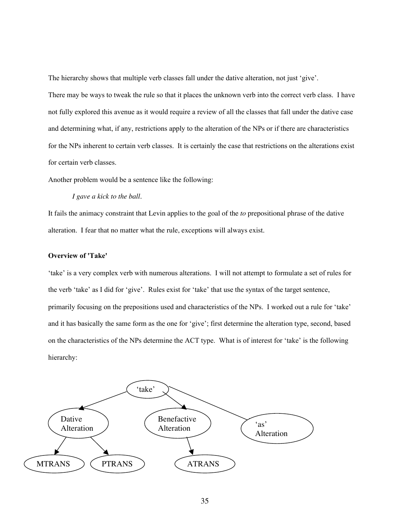The hierarchy shows that multiple verb classes fall under the dative alteration, not just 'give'.

There may be ways to tweak the rule so that it places the unknown verb into the correct verb class. I have not fully explored this avenue as it would require a review of all the classes that fall under the dative case and determining what, if any, restrictions apply to the alteration of the NPs or if there are characteristics for the NPs inherent to certain verb classes. It is certainly the case that restrictions on the alterations exist for certain verb classes.

Another problem would be a sentence like the following:

*I gave a kick to the ball.*

It fails the animacy constraint that Levin applies to the goal of the *to* prepositional phrase of the dative alteration. I fear that no matter what the rule, exceptions will always exist.

## **Overview of 'Take'**

'take' is a very complex verb with numerous alterations. I will not attempt to formulate a set of rules for the verb 'take' as I did for 'give'. Rules exist for 'take' that use the syntax of the target sentence, primarily focusing on the prepositions used and characteristics of the NPs. I worked out a rule for 'take' and it has basically the same form as the one for 'give'; first determine the alteration type, second, based on the characteristics of the NPs determine the ACT type. What is of interest for 'take' is the following hierarchy:

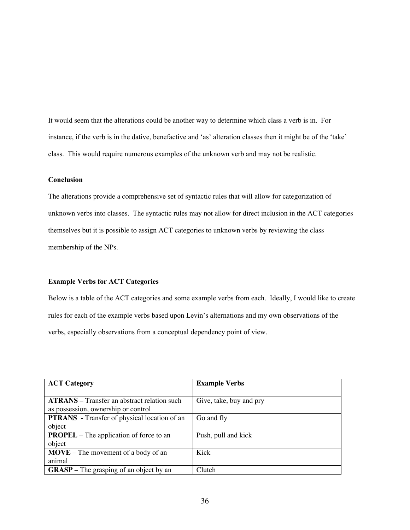It would seem that the alterations could be another way to determine which class a verb is in. For instance, if the verb is in the dative, benefactive and 'as' alteration classes then it might be of the 'take' class. This would require numerous examples of the unknown verb and may not be realistic.

# **Conclusion**

The alterations provide a comprehensive set of syntactic rules that will allow for categorization of unknown verbs into classes. The syntactic rules may not allow for direct inclusion in the ACT categories themselves but it is possible to assign ACT categories to unknown verbs by reviewing the class membership of the NPs.

#### **Example Verbs for ACT Categories**

Below is a table of the ACT categories and some example verbs from each. Ideally, I would like to create rules for each of the example verbs based upon Levin's alternations and my own observations of the verbs, especially observations from a conceptual dependency point of view.

| <b>ACT Category</b>                                 | <b>Example Verbs</b>    |
|-----------------------------------------------------|-------------------------|
|                                                     |                         |
| <b>ATRANS</b> – Transfer an abstract relation such  | Give, take, buy and pry |
| as possession, ownership or control                 |                         |
| <b>PTRANS</b> - Transfer of physical location of an | Go and fly              |
| object                                              |                         |
| <b>PROPEL</b> – The application of force to an      | Push, pull and kick     |
| object                                              |                         |
| $MOVE$ – The movement of a body of an               | Kick                    |
| animal                                              |                         |
| <b>GRASP</b> – The grasping of an object by an      | Clutch                  |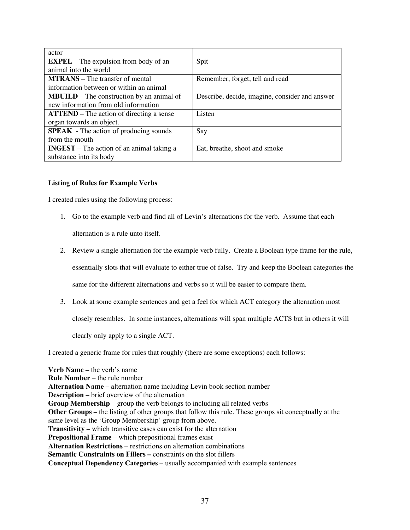| actor                                               |                                                |
|-----------------------------------------------------|------------------------------------------------|
| $EXPEL$ – The expulsion from body of an             | Spit                                           |
| animal into the world                               |                                                |
| <b>MTRANS</b> – The transfer of mental              | Remember, forget, tell and read                |
| information between or within an animal             |                                                |
| <b>MBUILD</b> – The construction by an animal of    | Describe, decide, imagine, consider and answer |
| new information from old information                |                                                |
| $\textbf{ATTEND}$ – The action of directing a sense | Listen                                         |
| organ towards an object.                            |                                                |
| <b>SPEAK</b> - The action of producing sounds       | Say                                            |
| from the mouth                                      |                                                |
| INGEST $-$ The action of an animal taking a         | Eat, breathe, shoot and smoke                  |
| substance into its body                             |                                                |

# **Listing of Rules for Example Verbs**

I created rules using the following process:

- 1. Go to the example verb and find all of Levin's alternations for the verb. Assume that each alternation is a rule unto itself.
- 2. Review a single alternation for the example verb fully. Create a Boolean type frame for the rule,

essentially slots that will evaluate to either true of false. Try and keep the Boolean categories the

same for the different alternations and verbs so it will be easier to compare them.

3. Look at some example sentences and get a feel for which ACT category the alternation most

closely resembles. In some instances, alternations will span multiple ACTS but in others it will

clearly only apply to a single ACT.

I created a generic frame for rules that roughly (there are some exceptions) each follows:

**Verb Name –** the verb's name **Rule Number** – the rule number **Alternation Name** – alternation name including Levin book section number **Description** – brief overview of the alternation **Group Membership** – group the verb belongs to including all related verbs **Other Groups** – the listing of other groups that follow this rule. These groups sit conceptually at the same level as the 'Group Membership' group from above. **Transitivity** – which transitive cases can exist for the alternation **Prepositional Frame** – which prepositional frames exist **Alternation Restrictions** – restrictions on alternation combinations **Semantic Constraints on Fillers –** constraints on the slot fillers **Conceptual Dependency Categories** – usually accompanied with example sentences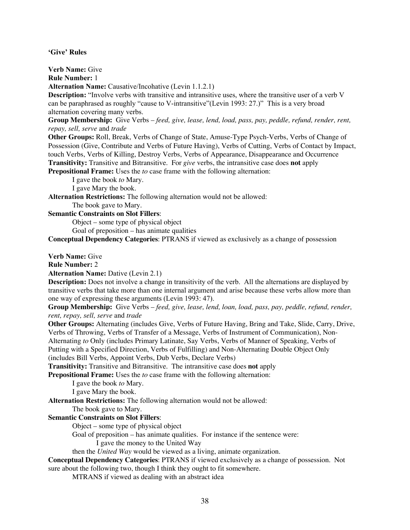**'Give' Rules**

**Verb Name:** Give

**Rule Number:** 1

**Alternation Name:** Causative/Incohative (Levin 1.1.2.1)

**Description:** "Involve verbs with transitive and intransitive uses, where the transitive user of a verb V can be paraphrased as roughly "cause to V-intransitive"(Levin 1993: 27.)" This is a very broad alternation covering many verbs.

**Group Membership:** Give Verbs – *feed, give, lease, lend, load, pass, pay, peddle, refund, render, rent, repay, sell, serve* and *trade*

**Other Groups:** Roll, Break, Verbs of Change of State, Amuse-Type Psych-Verbs, Verbs of Change of Possession (Give, Contribute and Verbs of Future Having), Verbs of Cutting, Verbs of Contact by Impact, touch Verbs, Verbs of Killing, Destroy Verbs, Verbs of Appearance, Disappearance and Occurrence **Transitivity:** Transitive and Bitransitive. For *give* verbs, the intransitive case does **not** apply

**Prepositional Frame:** Uses the *to* case frame with the following alternation:

I gave the book *to* Mary.

I gave Mary the book.

**Alternation Restrictions:** The following alternation would not be allowed:

The book gave to Mary.

**Semantic Constraints on Slot Fillers**:

Object – some type of physical object

Goal of preposition – has animate qualities

**Conceptual Dependency Categories**: PTRANS if viewed as exclusively as a change of possession

**Verb Name:** Give

**Rule Number:** 2

**Alternation Name:** Dative (Levin 2.1)

**Description:** Does not involve a change in transitivity of the verb. All the alternations are displayed by transitive verbs that take more than one internal argument and arise because these verbs allow more than one way of expressing these arguments (Levin 1993: 47).

**Group Membership:** Give Verbs – *feed, give, lease, lend, loan, load, pass, pay, peddle, refund, render, rent, repay, sell, serve* and *trade*

**Other Groups:** Alternating (includes Give, Verbs of Future Having, Bring and Take, Slide, Carry, Drive, Verbs of Throwing, Verbs of Transfer of a Message, Verbs of Instrument of Communication), Non-Alternating *to* Only (includes Primary Latinate, Say Verbs, Verbs of Manner of Speaking, Verbs of Putting with a Specified Direction, Verbs of Fulfilling) and Non-Alternating Double Object Only (includes Bill Verbs, Appoint Verbs, Dub Verbs, Declare Verbs)

**Transitivity:** Transitive and Bitransitive. The intransitive case does **not** apply

**Prepositional Frame:** Uses the *to* case frame with the following alternation:

I gave the book *to* Mary.

I gave Mary the book.

**Alternation Restrictions:** The following alternation would not be allowed:

The book gave to Mary.

# **Semantic Constraints on Slot Fillers**:

Object – some type of physical object

Goal of preposition – has animate qualities. For instance if the sentence were:

I gave the money to the United Way

then the *United Way* would be viewed as a living, animate organization.

**Conceptual Dependency Categories**: PTRANS if viewed exclusively as a change of possession. Not sure about the following two, though I think they ought to fit somewhere.

MTRANS if viewed as dealing with an abstract idea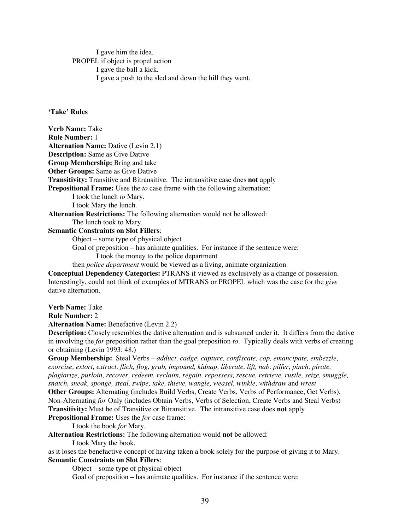I gave him the idea. PROPEL if object is propel action I gave the ball a kick. I gave a push to the sled and down the hill they went.

# **'Take' Rules**

**Verb Name:** Take **Rule Number:** 1 **Alternation Name:** Dative (Levin 2.1) **Description:** Same as Give Dative **Group Membership:** Bring and take **Other Groups: Same as Give Dative Transitivity:** Transitive and Bitransitive. The intransitive case does **not** apply **Prepositional Frame:** Uses the *to* case frame with the following alternation: I took the lunch *to* Mary. I took Mary the lunch. **Alternation Restrictions:** The following alternation would not be allowed: The lunch took to Mary.

**Semantic Constraints on Slot Fillers**:

Object – some type of physical object

Goal of preposition – has animate qualities. For instance if the sentence were: I took the money to the police department

then *police department* would be viewed as a living, animate organization.

**Conceptual Dependency Categories:** PTRANS if viewed as exclusively as a change of possession. Interestingly, could not think of examples of MTRANS or PROPEL which was the case for the *give* dative alternation.

**Verb Name:** Take

**Rule Number:** 2

**Alternation Name:** Benefactive (Levin 2.2)

**Description:** Closely resembles the dative alternation and is subsumed under it. It differs from the dative in involving the *for* preposition rather than the goal preposition *to*. Typically deals with verbs of creating or obtaining (Levin 1993: 48.)

**Group Membership:** Steal Verbs – *adduct, cadge, capture, confiscate, cop, emancipate, embezzle, exorcise, extort, extract, flich, flog, grab, impound, kidnap, liberate, lift, nab, pilfer, pinch, pirate, plagiarize, purloin, recover, redeem, reclaim, regain, repossess, rescue, retrieve, rustle, seize, smuggle, snatch, sneak, sponge, steal, swipe, take, thieve, wangle, weasel, winkle, withdraw* and *wrest*

**Other Groups:** Alternating (includes Build Verbs, Create Verbs, Verbs of Performance, Get Verbs), Non-Alternating *for* Only (includes Obtain Verbs, Verbs of Selection, Create Verbs and Steal Verbs) **Transitivity:** Must be of Transitive or Bitransitive. The intransitive case does **not** apply **Prepositional Frame:** Uses the *for* case frame:

I took the book *for* Mary.

**Alternation Restrictions:** The following alternation would **not** be allowed:

I took Mary the book.

as it loses the benefactive concept of having taken a book solely for the purpose of giving it to Mary. **Semantic Constraints on Slot Fillers**:

Object – some type of physical object

Goal of preposition – has animate qualities. For instance if the sentence were: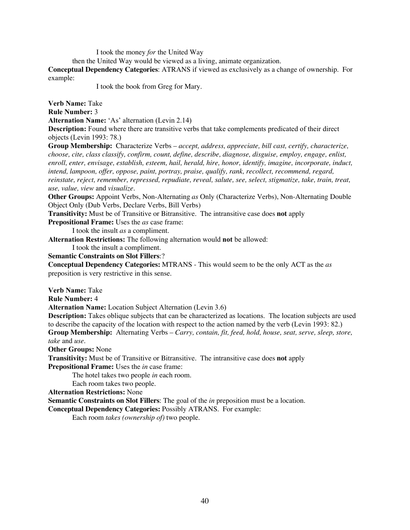I took the money *for* the United Way

then the United Way would be viewed as a living, animate organization.

**Conceptual Dependency Categories**: ATRANS if viewed as exclusively as a change of ownership. For example:

I took the book from Greg for Mary.

**Verb Name:** Take

**Rule Number:** 3

**Alternation Name:** 'As' alternation (Levin 2.14)

**Description:** Found where there are transitive verbs that take complements predicated of their direct objects (Levin 1993: 78.)

**Group Membership:** Characterize Verbs – *accept, address, appreciate, bill cast, certify, characterize, choose, cite, class classify, confirm, count, define, describe, diagnose, disguise, employ, engage, enlist, enroll, enter, envisage, establish, esteem, hail, herald, hire, honor, identify, imagine, incorporate, induct, intend, lampoon, offer, oppose, paint, portray, praise, qualify, rank, recollect, recommend, regard, reinstate, reject, remember, repressed, repudiate, reveal, salute, see, select, stigmatize, take, train, treat, use, value, view* and *visualize.*

**Other Groups:** Appoint Verbs, Non-Alternating *as* Only (Characterize Verbs), Non-Alternating Double Object Only (Dub Verbs, Declare Verbs, Bill Verbs)

**Transitivity:** Must be of Transitive or Bitransitive. The intransitive case does **not** apply

**Prepositional Frame:** Uses the *as* case frame:

I took the insult *as* a compliment.

**Alternation Restrictions:** The following alternation would **not** be allowed:

I took the insult a compliment.

**Semantic Constraints on Slot Fillers**:?

**Conceptual Dependency Categories:** MTRANS - This would seem to be the only ACT as the *as* preposition is very restrictive in this sense.

**Verb Name:** Take

**Rule Number:** 4

**Alternation Name:** Location Subject Alternation (Levin 3.6)

**Description:** Takes oblique subjects that can be characterized as locations. The location subjects are used to describe the capacity of the location with respect to the action named by the verb (Levin 1993: 82.) **Group Membership:** Alternating Verbs – *Carry, contain, fit, feed, hold, house, seat, serve, sleep, store, take* and *use.*

**Other Groups:** None

**Transitivity:** Must be of Transitive or Bitransitive. The intransitive case does **not** apply

**Prepositional Frame:** Uses the *in* case frame:

The hotel takes two people *in* each room.

Each room takes two people.

**Alternation Restrictions:** None

**Semantic Constraints on Slot Fillers**: The goal of the *in* preposition must be a location.

**Conceptual Dependency Categories:** Possibly ATRANS. For example:

Each room *takes (ownership of)* two people.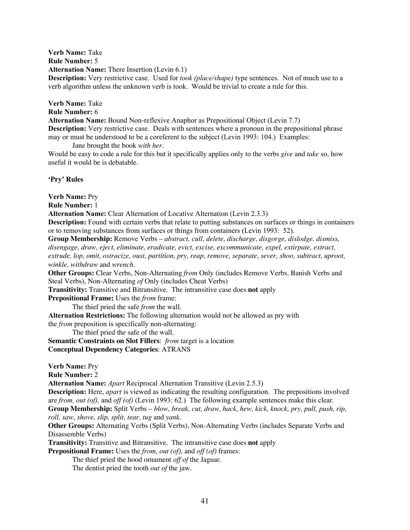**Verb Name:** Take **Rule Number:** 5 **Alternation Name:** There Insertion (Levin 6.1) **Description:** Very restrictive case. Used for *took (place/shape)* type sentences. Not of much use to a verb algorithm unless the unknown verb is took. Would be trivial to create a rule for this.

**Verb Name:** Take **Rule Number:** 6 **Alternation Name:** Bound Non-reflexive Anaphor as Prepositional Object (Levin 7.7) **Description:** Very restrictive case. Deals with sentences where a pronoun in the prepositional phrase may or must be understood to be a coreferent to the subject (Levin 1993: 104.) Examples:

Jane brought the book *with her.*

Would be easy to code a rule for this but it specifically applies only to the verbs *give* and *take* so, how useful it would be is debatable.

# **'Pry' Rules**

**Verb Name:** Pry

**Rule Number:** 1

**Alternation Name:** Clear Alternation of Locative Alternation (Levin 2.3.3)

**Description:** Found with certain verbs that relate to putting substances on surfaces or things in containers or to removing substances from surfaces or things from containers (Levin 1993: 52).

**Group Membership:** Remove Verbs – *abstract, cull, delete, discharge, disgorge, dislodge, dismiss, disengage, draw, eject, eliminate, eradicate, evict, excise, excommunicate, expel, extirpate, extract, extrude, lop, omit, ostracize, oust, partition, pry, reap, remove, separate, sever, shoo, subtract, uproot, winkle, withdraw* and *wrench.*

**Other Groups:** Clear Verbs, Non-Alternating *from* Only (includes Remove Verbs, Banish Verbs and Steal Verbs), Non-Alternating *of* Only (includes Cheat Verbs)

**Transitivity:** Transitive and Bitransitive. The intransitive case does **not** apply

**Prepositional Frame:** Uses the *from* frame:

The thief pried the safe *from* the wall.

**Alternation Restrictions:** The following alternation would not be allowed as pry with the *from* preposition is specifically non-alternating:

The thief pried the safe of the wall.

**Semantic Constraints on Slot Fillers**:*from* target is a location **Conceptual Dependency Categories**: ATRANS

**Verb Name:** Pry

**Rule Number:** 2

**Alternation Name:** *Apart* Reciprocal Alternation Transitive (Levin 2.5.3)

**Description:** Here, *apart* is viewed as indicating the resulting configuration. The prepositions involved are *from, out (of),* and *off (of)* (Levin 1993: 62*.*) The following example sentences make this clear.

**Group Membership:** Split Verbs – *blow, break, cut, draw, hack, hew, kick, knock, pry, pull, push, rip, roll, saw, shove, slip, split, tear, tug* and *yank.*

**Other Groups:** Alternating Verbs (Split Verbs), Non-Alternating Verbs (includes Separate Verbs and Disassemble Verbs)

**Transitivity:** Transitive and Bitransitive. The intransitive case does **not** apply

**Prepositional Frame:** Uses the *from, out (of),* and *off (of)* frames:

The thief pried the hood ornament *off of* the Jaguar.

The dentist pried the tooth *out of* the jaw.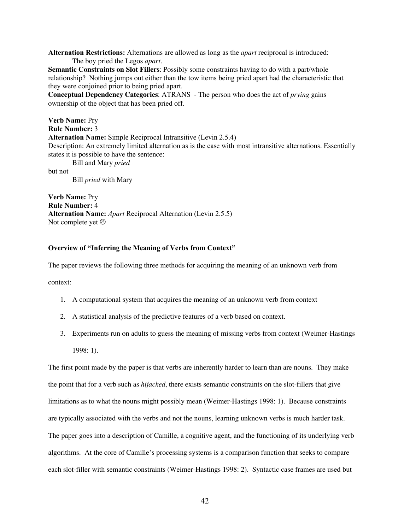**Alternation Restrictions:** Alternations are allowed as long as the *apart* reciprocal is introduced: The boy pried the Legos *apart.*

**Semantic Constraints on Slot Fillers**: Possibly some constraints having to do with a part/whole relationship? Nothing jumps out either than the tow items being pried apart had the characteristic that they were conjoined prior to being pried apart.

**Conceptual Dependency Categories**: ATRANS - The person who does the act of *prying* gains ownership of the object that has been pried off.

**Verb Name:** Pry **Rule Number:** 3 **Alternation Name:** Simple Reciprocal Intransitive (Levin 2.5.4) Description: An extremely limited alternation as is the case with most intransitive alternations. Essentially states it is possible to have the sentence: Bill and Mary *pried* but not Bill *pried* with Mary

**Verb Name:** Pry **Rule Number:** 4 **Alternation Name:** *Apart* Reciprocal Alternation (Levin 2.5.5) Not complete yet  $\odot$ 

## **Overview of "Inferring the Meaning of Verbs from Context"**

The paper reviews the following three methods for acquiring the meaning of an unknown verb from

context:

- 1. A computational system that acquires the meaning of an unknown verb from context
- 2. A statistical analysis of the predictive features of a verb based on context.
- 3. Experiments run on adults to guess the meaning of missing verbs from context (Weimer-Hastings 1998: 1).

The first point made by the paper is that verbs are inherently harder to learn than are nouns. They make the point that for a verb such as *hijacked*, there exists semantic constraints on the slot-fillers that give limitations as to what the nouns might possibly mean (Weimer-Hastings 1998: 1). Because constraints are typically associated with the verbs and not the nouns, learning unknown verbs is much harder task. The paper goes into a description of Camille, a cognitive agent, and the functioning of its underlying verb algorithms. At the core of Camille's processing systems is a comparison function that seeks to compare each slot-filler with semantic constraints (Weimer-Hastings 1998: 2). Syntactic case frames are used but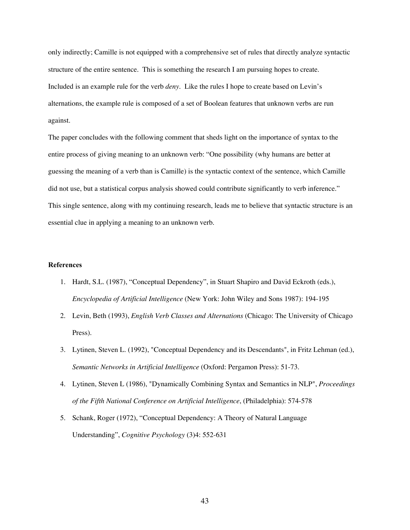only indirectly; Camille is not equipped with a comprehensive set of rules that directly analyze syntactic structure of the entire sentence. This is something the research I am pursuing hopes to create. Included is an example rule for the verb *deny*. Like the rules I hope to create based on Levin's alternations, the example rule is composed of a set of Boolean features that unknown verbs are run against.

The paper concludes with the following comment that sheds light on the importance of syntax to the entire process of giving meaning to an unknown verb: "One possibility (why humans are better at guessing the meaning of a verb than is Camille) is the syntactic context of the sentence, which Camille did not use, but a statistical corpus analysis showed could contribute significantly to verb inference." This single sentence, along with my continuing research, leads me to believe that syntactic structure is an essential clue in applying a meaning to an unknown verb.

## **References**

- 1. Hardt, S.L. (1987), "Conceptual Dependency", in Stuart Shapiro and David Eckroth (eds.), *Encyclopedia of Artificial Intelligence* (New York: John Wiley and Sons 1987): 194-195
- 2. Levin, Beth (1993), *English Verb Classes and Alternations* (Chicago: The University of Chicago Press).
- 3. Lytinen, Steven L. (1992), "Conceptual Dependency and its Descendants", in Fritz Lehman (ed.), *Semantic Networks in Artificial Intelligence* (Oxford: Pergamon Press): 51-73.
- 4. Lytinen, Steven L (1986), "Dynamically Combining Syntax and Semantics in NLP", *Proceedings of the Fifth National Conference on Artificial Intelligence*, (Philadelphia): 574-578
- 5. Schank, Roger (1972), "Conceptual Dependency: A Theory of Natural Language Understanding", *Cognitive Psychology* (3)4: 552-631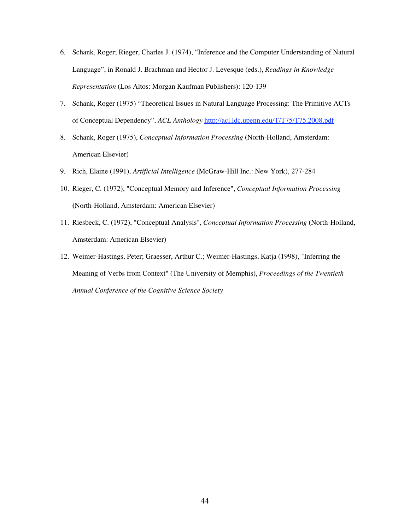- 6. Schank, Roger; Rieger, Charles J. (1974), "Inference and the Computer Understanding of Natural Language", in Ronald J. Brachman and Hector J. Levesque (eds.), *Readings in Knowledge Representation* (Los Altos: Morgan Kaufman Publishers): 120-139
- 7. Schank, Roger (1975) "Theoretical Issues in Natural Language Processing: The Primitive ACTs of Conceptual Dependency", *ACL Anthology* http://acl.ldc.upenn.edu/T/T75/T75.2008.pdf
- 8. Schank, Roger (1975), *Conceptual Information Processing* **(**North-Holland, Amsterdam: American Elsevier)
- 9. Rich, Elaine (1991), *Artificial Intelligence* (McGraw-Hill Inc.: New York), 277-284
- 10. Rieger, C. (1972), "Conceptual Memory and Inference", *Conceptual Information Processing* **(**North-Holland, Amsterdam: American Elsevier)
- 11. Riesbeck, C. (1972), "Conceptual Analysis", *Conceptual Information Processing* **(**North-Holland, Amsterdam: American Elsevier)
- 12. Weimer-Hastings, Peter; Graesser, Arthur C.; Weimer-Hastings, Katja (1998), "Inferring the Meaning of Verbs from Context" (The University of Memphis), *Proceedings of the Twentieth Annual Conference of the Cognitive Science Society*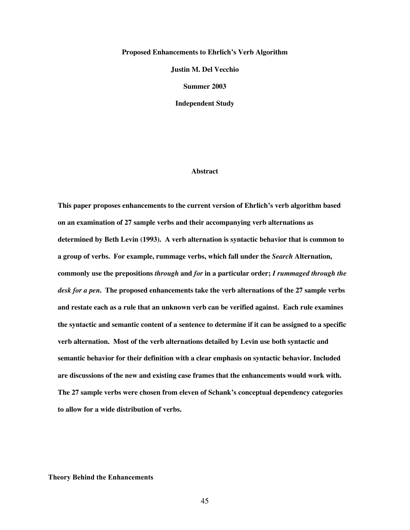#### **Proposed Enhancements to Ehrlich's Verb Algorithm**

**Justin M. Del Vecchio**

**Summer 2003**

**Independent Study**

#### **Abstract**

**This paper proposes enhancements to the current version of Ehrlich's verb algorithm based on an examination of 27 sample verbs and their accompanying verb alternations as determined by Beth Levin (1993). A verb alternation is syntactic behavior that is common to a group of verbs. For example, rummage verbs, which fall under the** *Search* **Alternation, commonly use the prepositions** *through* **and** *for* **in a particular order;** *I rummaged through the desk for a pen***. The proposed enhancements take the verb alternations of the 27 sample verbs and restate each as a rule that an unknown verb can be verified against. Each rule examines the syntactic and semantic content of a sentence to determine if it can be assigned to a specific verb alternation. Most of the verb alternations detailed by Levin use both syntactic and semantic behavior for their definition with a clear emphasis on syntactic behavior. Included are discussions of the new and existing case frames that the enhancements would work with. The 27 sample verbs were chosen from eleven of Schank's conceptual dependency categories to allow for a wide distribution of verbs.**

**Theory Behind the Enhancements**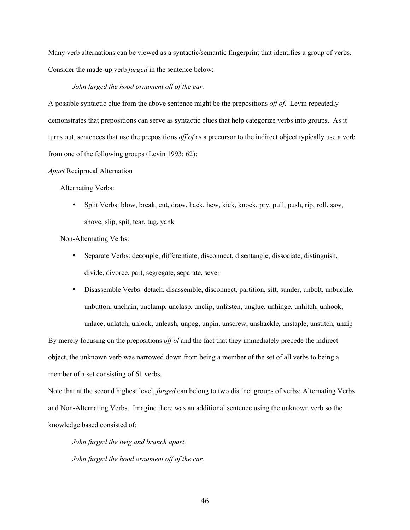Many verb alternations can be viewed as a syntactic/semantic fingerprint that identifies a group of verbs. Consider the made-up verb *furged* in the sentence below:

## *John furged the hood ornament off of the car.*

A possible syntactic clue from the above sentence might be the prepositions *off of*. Levin repeatedly demonstrates that prepositions can serve as syntactic clues that help categorize verbs into groups. As it turns out, sentences that use the prepositions *off of* as a precursor to the indirect object typically use a verb from one of the following groups (Levin 1993: 62):

#### *Apart* Reciprocal Alternation

Alternating Verbs:

Split Verbs: blow, break, cut, draw, hack, hew, kick, knock, pry, pull, push, rip, roll, saw, shove, slip, spit, tear, tug, yank

Non-Alternating Verbs:

Separate Verbs: decouple, differentiate, disconnect, disentangle, dissociate, distinguish, divide, divorce, part, segregate, separate, sever

Disassemble Verbs: detach, disassemble, disconnect, partition, sift, sunder, unbolt, unbuckle, unbutton, unchain, unclamp, unclasp, unclip, unfasten, unglue, unhinge, unhitch, unhook, unlace, unlatch, unlock, unleash, unpeg, unpin, unscrew, unshackle, unstaple, unstitch, unzip

By merely focusing on the prepositions *off of* and the fact that they immediately precede the indirect object, the unknown verb was narrowed down from being a member of the set of all verbs to being a member of a set consisting of 61 verbs.

Note that at the second highest level, *furged* can belong to two distinct groups of verbs: Alternating Verbs and Non-Alternating Verbs. Imagine there was an additional sentence using the unknown verb so the knowledge based consisted of:

*John furged the twig and branch apart. John furged the hood ornament off of the car.*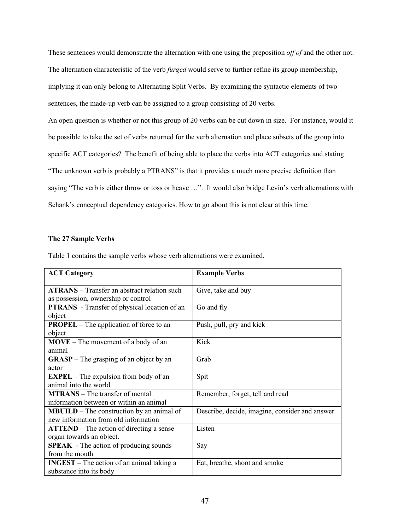These sentences would demonstrate the alternation with one using the preposition *off of* and the other not. The alternation characteristic of the verb *furged* would serve to further refine its group membership, implying it can only belong to Alternating Split Verbs. By examining the syntactic elements of two sentences, the made-up verb can be assigned to a group consisting of 20 verbs.

An open question is whether or not this group of 20 verbs can be cut down in size. For instance, would it be possible to take the set of verbs returned for the verb alternation and place subsets of the group into specific ACT categories? The benefit of being able to place the verbs into ACT categories and stating "The unknown verb is probably a PTRANS" is that it provides a much more precise definition than saying "The verb is either throw or toss or heave ...". It would also bridge Levin's verb alternations with Schank's conceptual dependency categories. How to go about this is not clear at this time.

# **The 27 Sample Verbs**

| <b>ACT Category</b>                                 | <b>Example Verbs</b>                           |
|-----------------------------------------------------|------------------------------------------------|
|                                                     |                                                |
| <b>ATRANS</b> – Transfer an abstract relation such  | Give, take and buy                             |
| as possession, ownership or control                 |                                                |
| <b>PTRANS</b> - Transfer of physical location of an | Go and fly                                     |
| object                                              |                                                |
| <b>PROPEL</b> – The application of force to an      | Push, pull, pry and kick                       |
| object                                              |                                                |
| $MOVE$ – The movement of a body of an               | Kick                                           |
| animal                                              |                                                |
| $GRASP$ – The grasping of an object by an           | Grab                                           |
| actor                                               |                                                |
| $EXPEL - The explosion from body of an$             | Spit                                           |
| animal into the world                               |                                                |
| <b>MTRANS</b> – The transfer of mental              | Remember, forget, tell and read                |
| information between or within an animal             |                                                |
| <b>MBUILD</b> – The construction by an animal of    | Describe, decide, imagine, consider and answer |
| new information from old information                |                                                |
| <b>ATTEND</b> – The action of directing a sense     | Listen                                         |
| organ towards an object.                            |                                                |
| <b>SPEAK</b> - The action of producing sounds       | Say                                            |
| from the mouth                                      |                                                |
| $INGEST$ – The action of an animal taking a         | Eat, breathe, shoot and smoke                  |
| substance into its body                             |                                                |

Table 1 contains the sample verbs whose verb alternations were examined.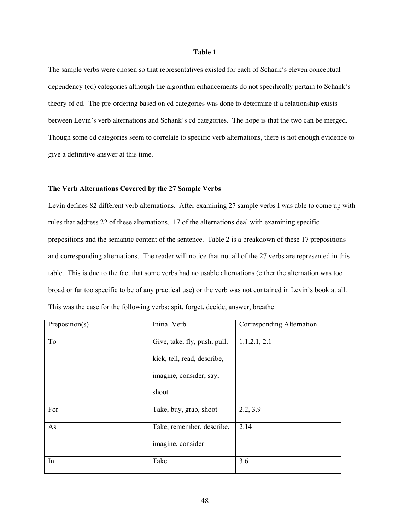## **Table 1**

The sample verbs were chosen so that representatives existed for each of Schank's eleven conceptual dependency (cd) categories although the algorithm enhancements do not specifically pertain to Schank's theory of cd. The pre-ordering based on cd categories was done to determine if a relationship exists between Levin's verb alternations and Schank's cd categories. The hope is that the two can be merged. Though some cd categories seem to correlate to specific verb alternations, there is not enough evidence to give a definitive answer at this time.

#### **The Verb Alternations Covered by the 27 Sample Verbs**

Levin defines 82 different verb alternations. After examining 27 sample verbs I was able to come up with rules that address 22 of these alternations. 17 of the alternations deal with examining specific prepositions and the semantic content of the sentence. Table 2 is a breakdown of these 17 prepositions and corresponding alternations. The reader will notice that not all of the 27 verbs are represented in this table. This is due to the fact that some verbs had no usable alternations (either the alternation was too broad or far too specific to be of any practical use) or the verb was not contained in Levin's book at all. This was the case for the following verbs: spit, forget, decide, answer, breathe

| Preposition(s) | <b>Initial Verb</b>          | Corresponding Alternation |
|----------------|------------------------------|---------------------------|
| To             | Give, take, fly, push, pull, | 1.1.2.1, 2.1              |
|                | kick, tell, read, describe,  |                           |
|                | imagine, consider, say,      |                           |
|                | shoot                        |                           |
| For            | Take, buy, grab, shoot       | 2.2, 3.9                  |
| As             | Take, remember, describe,    | 2.14                      |
|                | imagine, consider            |                           |
| In             | Take                         | 3.6                       |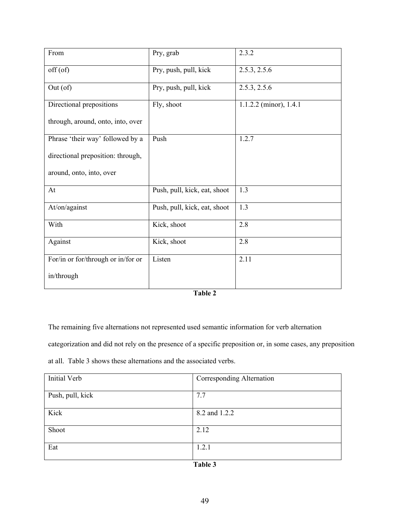| From                               | Pry, grab                    | 2.3.2                  |
|------------------------------------|------------------------------|------------------------|
| $off($ of)                         | Pry, push, pull, kick        | 2.5.3, 2.5.6           |
| Out(of)                            | Pry, push, pull, kick        | 2.5.3, 2.5.6           |
| Directional prepositions           | Fly, shoot                   | 1.1.2.2 (minor), 1.4.1 |
| through, around, onto, into, over  |                              |                        |
| Phrase 'their way' followed by a   | Push                         | 1.2.7                  |
| directional preposition: through,  |                              |                        |
| around, onto, into, over           |                              |                        |
| At                                 | Push, pull, kick, eat, shoot | 1.3                    |
| At/on/against                      | Push, pull, kick, eat, shoot | 1.3                    |
| With                               | Kick, shoot                  | 2.8                    |
| Against                            | Kick, shoot                  | 2.8                    |
| For/in or for/through or in/for or | Listen                       | 2.11                   |
| in/through                         |                              |                        |

| ۱n۱<br>n |  |
|----------|--|
|----------|--|

The remaining five alternations not represented used semantic information for verb alternation

categorization and did not rely on the presence of a specific preposition or, in some cases, any preposition

at all. Table 3 shows these alternations and the associated verbs.

| Initial Verb     | Corresponding Alternation |
|------------------|---------------------------|
|                  |                           |
| Push, pull, kick | 7.7                       |
|                  |                           |
| Kick             | 8.2 and 1.2.2             |
|                  |                           |
| Shoot            | 2.12                      |
|                  |                           |
| Eat              | 1.2.1                     |
|                  |                           |
|                  | T112                      |

| `able |  |
|-------|--|
|-------|--|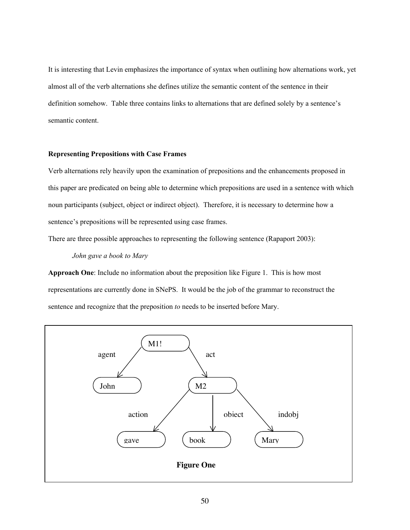It is interesting that Levin emphasizes the importance of syntax when outlining how alternations work, yet almost all of the verb alternations she defines utilize the semantic content of the sentence in their definition somehow. Table three contains links to alternations that are defined solely by a sentence's semantic content.

# **Representing Prepositions with Case Frames**

Verb alternations rely heavily upon the examination of prepositions and the enhancements proposed in this paper are predicated on being able to determine which prepositions are used in a sentence with which noun participants (subject, object or indirect object). Therefore, it is necessary to determine how a sentence's prepositions will be represented using case frames.

There are three possible approaches to representing the following sentence (Rapaport 2003):

*John gave a book to Mary*

**Approach One**: Include no information about the preposition like Figure 1. This is how most representations are currently done in SNePS. It would be the job of the grammar to reconstruct the sentence and recognize that the preposition *to* needs to be inserted before Mary.

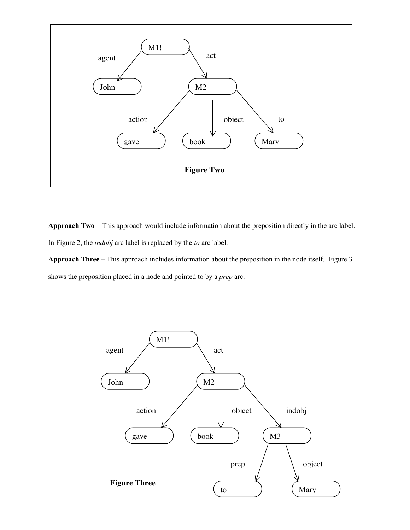

**Approach Two** – This approach would include information about the preposition directly in the arc label. In Figure 2, the *indobj* arc label is replaced by the *to* arc label.

**Approach Three** – This approach includes information about the preposition in the node itself. Figure 3 shows the preposition placed in a node and pointed to by a *prep* arc.

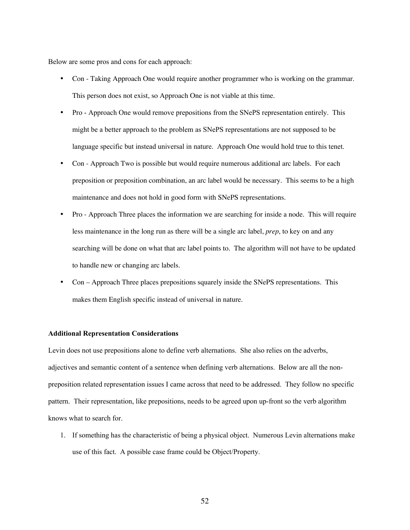Below are some pros and cons for each approach:

Con - Taking Approach One would require another programmer who is working on the grammar. This person does not exist, so Approach One is not viable at this time.

Pro - Approach One would remove prepositions from the SNePS representation entirely. This might be a better approach to the problem as SNePS representations are not supposed to be language specific but instead universal in nature. Approach One would hold true to this tenet. Con - Approach Two is possible but would require numerous additional arc labels. For each preposition or preposition combination, an arc label would be necessary. This seems to be a high maintenance and does not hold in good form with SNePS representations.

Pro - Approach Three places the information we are searching for inside a node. This will require less maintenance in the long run as there will be a single arc label, *prep*, to key on and any searching will be done on what that arc label points to. The algorithm will not have to be updated to handle new or changing arc labels.

Con – Approach Three places prepositions squarely inside the SNePS representations. This makes them English specific instead of universal in nature.

#### **Additional Representation Considerations**

Levin does not use prepositions alone to define verb alternations. She also relies on the adverbs, adjectives and semantic content of a sentence when defining verb alternations. Below are all the nonpreposition related representation issues I came across that need to be addressed. They follow no specific pattern. Their representation, like prepositions, needs to be agreed upon up-front so the verb algorithm knows what to search for.

1. If something has the characteristic of being a physical object. Numerous Levin alternations make use of this fact. A possible case frame could be Object/Property.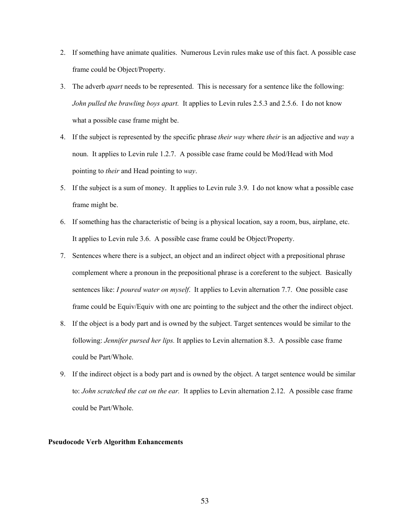- 2. If something have animate qualities. Numerous Levin rules make use of this fact. A possible case frame could be Object/Property.
- 3. The adverb *apart* needs to be represented. This is necessary for a sentence like the following: *John pulled the brawling boys apart.* It applies to Levin rules 2.5.3 and 2.5.6. I do not know what a possible case frame might be.
- 4. If the subject is represented by the specific phrase *their way* where *their* is an adjective and *way* a noun. It applies to Levin rule 1.2.7. A possible case frame could be Mod/Head with Mod pointing to *their* and Head pointing to *way*.
- 5. If the subject is a sum of money. It applies to Levin rule 3.9. I do not know what a possible case frame might be.
- 6. If something has the characteristic of being is a physical location, say a room, bus, airplane, etc. It applies to Levin rule 3.6. A possible case frame could be Object/Property.
- 7. Sentences where there is a subject, an object and an indirect object with a prepositional phrase complement where a pronoun in the prepositional phrase is a coreferent to the subject. Basically sentences like: *I poured water on myself*. It applies to Levin alternation 7.7. One possible case frame could be Equiv/Equiv with one arc pointing to the subject and the other the indirect object.
- 8. If the object is a body part and is owned by the subject. Target sentences would be similar to the following: *Jennifer pursed her lips.* It applies to Levin alternation 8.3. A possible case frame could be Part/Whole.
- 9. If the indirect object is a body part and is owned by the object. A target sentence would be similar to: *John scratched the cat on the ear.* It applies to Levin alternation 2.12. A possible case frame could be Part/Whole.

#### **Pseudocode Verb Algorithm Enhancements**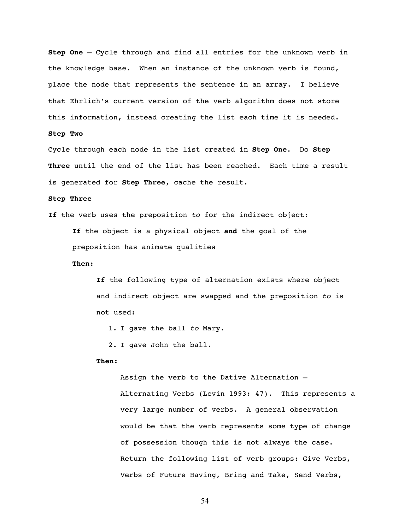**Step One –** Cycle through and find all entries for the unknown verb in the knowledge base. When an instance of the unknown verb is found, place the node that represents the sentence in an array. I believe that Ehrlich's current version of the verb algorithm does not store this information, instead creating the list each time it is needed.

## **Step Two**

Cycle through each node in the list created in **Step One**. Do **Step Three** until the end of the list has been reached. Each time a result is generated for **Step Three**, cache the result.

## **Step Three**

**If** the verb uses the preposition to for the indirect object:

**If** the object is a physical object **and** the goal of the preposition has animate qualities

#### **Then**:

**If** the following type of alternation exists where object and indirect object are swapped and the preposition to is not used:

1. I gave the ball to Mary.

2. I gave John the ball.

#### **Then**:

Assign the verb to the Dative Alternation – Alternating Verbs (Levin 1993: 47). This represents a very large number of verbs. A general observation would be that the verb represents some type of change of possession though this is not always the case. Return the following list of verb groups: Give Verbs, Verbs of Future Having, Bring and Take, Send Verbs,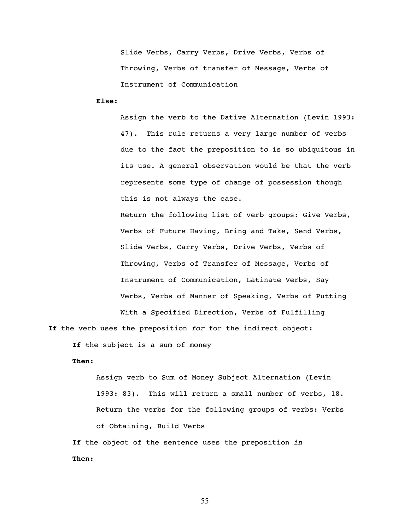Slide Verbs, Carry Verbs, Drive Verbs, Verbs of Throwing, Verbs of transfer of Message, Verbs of Instrument of Communication

**Else**:

Assign the verb to the Dative Alternation (Levin 1993: 47). This rule returns a very large number of verbs due to the fact the preposition to is so ubiquitous in its use. A general observation would be that the verb represents some type of change of possession though this is not always the case.

Return the following list of verb groups: Give Verbs, Verbs of Future Having, Bring and Take, Send Verbs, Slide Verbs, Carry Verbs, Drive Verbs, Verbs of Throwing, Verbs of Transfer of Message, Verbs of Instrument of Communication, Latinate Verbs, Say Verbs, Verbs of Manner of Speaking, Verbs of Putting

**If** the verb uses the preposition for for the indirect object:

**If** the subject is a sum of money

## **Then:**

Assign verb to Sum of Money Subject Alternation (Levin 1993: 83). This will return a small number of verbs, 18. Return the verbs for the following groups of verbs: Verbs of Obtaining, Build Verbs

With a Specified Direction, Verbs of Fulfilling

If the object of the sentence uses the preposition in **Then:**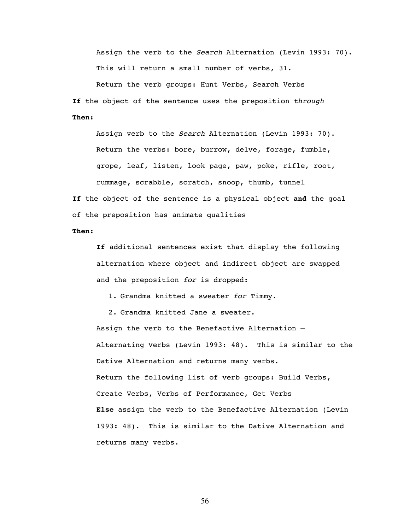Assign the verb to the Search Alternation (Levin 1993: 70). This will return a small number of verbs, 31.

Return the verb groups: Hunt Verbs, Search Verbs **If** the object of the sentence uses the preposition through **Then:**

Assign verb to the Search Alternation (Levin 1993: 70). Return the verbs: bore, burrow, delve, forage, fumble, grope, leaf, listen, look page, paw, poke, rifle, root, rummage, scrabble, scratch, snoop, thumb, tunnel

**If** the object of the sentence is a physical object **and** the goal of the preposition has animate qualities

#### **Then:**

**If** additional sentences exist that display the following alternation where object and indirect object are swapped and the preposition for is dropped:

1. Grandma knitted a sweater for Timmy.

2. Grandma knitted Jane a sweater.

Assign the verb to the Benefactive Alternation – Alternating Verbs (Levin 1993: 48). This is similar to the Dative Alternation and returns many verbs. Return the following list of verb groups: Build Verbs, Create Verbs, Verbs of Performance, Get Verbs **Else** assign the verb to the Benefactive Alternation (Levin 1993: 48). This is similar to the Dative Alternation and returns many verbs.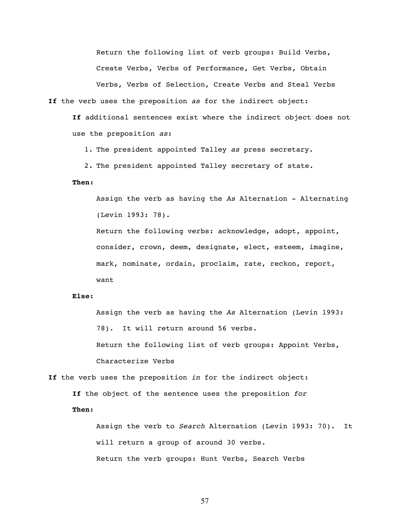Return the following list of verb groups: Build Verbs, Create Verbs, Verbs of Performance, Get Verbs, Obtain Verbs, Verbs of Selection, Create Verbs and Steal Verbs

**If** the verb uses the preposition as for the indirect object:

**If** additional sentences exist where the indirect object does not use the preposition as:

1. The president appointed Talley as press secretary.

2. The president appointed Talley secretary of state.

#### **Then:**

Assign the verb as having the As Alternation - Alternating (Levin 1993: 78).

Return the following verbs: acknowledge, adopt, appoint, consider, crown, deem, designate, elect, esteem, imagine, mark, nominate, ordain, proclaim, rate, reckon, report, want

#### **Else:**

Assign the verb as having the As Alternation (Levin 1993: 78). It will return around 56 verbs. Return the following list of verb groups: Appoint Verbs, Characterize Verbs

**If** the verb uses the preposition in for the indirect object: **If** the object of the sentence uses the preposition for

**Then:**

Assign the verb to Search Alternation (Levin 1993: 70). It will return a group of around 30 verbs. Return the verb groups: Hunt Verbs, Search Verbs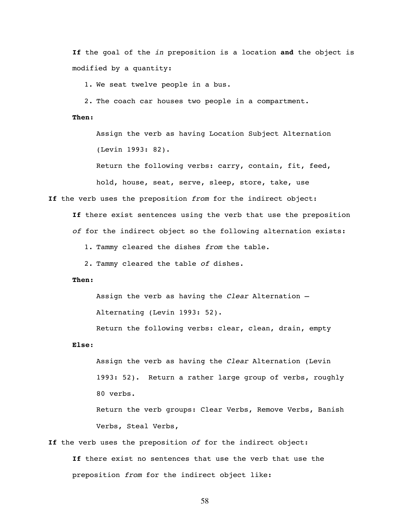**If** the goal of the in preposition is a location **and** the object is modified by a quantity:

1. We seat twelve people in a bus.

2. The coach car houses two people in a compartment.

**Then:**

Assign the verb as having Location Subject Alternation (Levin 1993: 82).

Return the following verbs: carry, contain, fit, feed,

hold, house, seat, serve, sleep, store, take, use

If the verb uses the preposition from for the indirect object:

**If** there exist sentences using the verb that use the preposition of for the indirect object so the following alternation exists:

1. Tammy cleared the dishes from the table.

2. Tammy cleared the table of dishes.

# **Then:**

Assign the verb as having the Clear Alternation –

Alternating (Levin 1993: 52).

Return the following verbs: clear, clean, drain, empty **Else**:

Assign the verb as having the Clear Alternation (Levin 1993: 52). Return a rather large group of verbs, roughly 80 verbs.

Return the verb groups: Clear Verbs, Remove Verbs, Banish Verbs, Steal Verbs,

**If** the verb uses the preposition of for the indirect object: **If** there exist no sentences that use the verb that use the

preposition from for the indirect object like: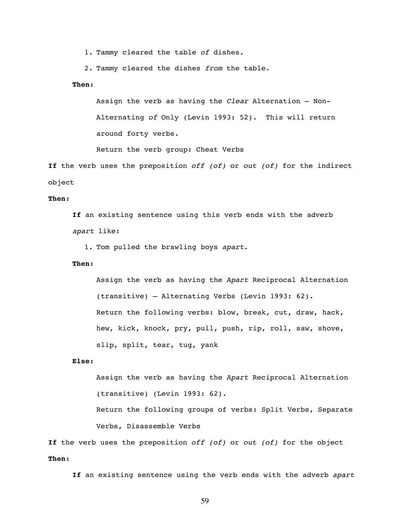1. Tammy cleared the table of dishes.

2. Tammy cleared the dishes from the table.

### **Then:**

Assign the verb as having the Clear Alternation – Non-Alternating of Only (Levin 1993: 52). This will return around forty verbs.

Return the verb group: Cheat Verbs

**If** the verb uses the preposition off (of) or out (of) for the indirect object

## **Then:**

**If** an existing sentence using this verb ends with the adverb apart like:

1. Tom pulled the brawling boys apart.

#### **Then:**

Assign the verb as having the Apart Reciprocal Alternation (transitive) – Alternating Verbs (Levin 1993: 62). Return the following verbs: blow, break, cut, draw, hack, hew, kick, knock, pry, pull, push, rip, roll, saw, shove, slip, split, tear, tug, yank

#### **Else:**

Assign the verb as having the Apart Reciprocal Alternation (transitive) (Levin 1993: 62).

Return the following groups of verbs: Split Verbs, Separate Verbs, Disassemble Verbs

If the verb uses the preposition off (of) or out (of) for the object **Then:**

If an existing sentence using the verb ends with the adverb apart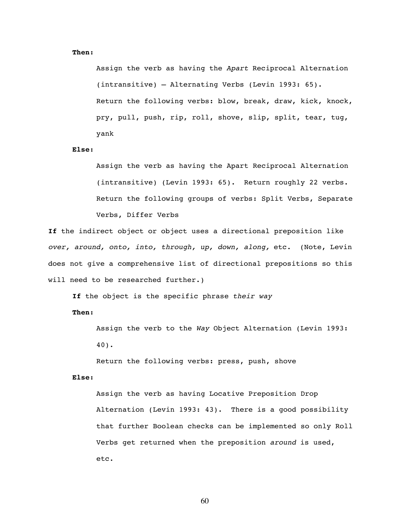#### **Then:**

Assign the verb as having the Apart Reciprocal Alternation (intransitive) – Alternating Verbs (Levin 1993: 65). Return the following verbs: blow, break, draw, kick, knock, pry, pull, push, rip, roll, shove, slip, split, tear, tug, yank

#### **Else:**

Assign the verb as having the Apart Reciprocal Alternation (intransitive) (Levin 1993: 65). Return roughly 22 verbs. Return the following groups of verbs: Split Verbs, Separate Verbs, Differ Verbs

**If** the indirect object or object uses a directional preposition like over, around, onto, into, through, up, down, along, etc. (Note, Levin does not give a comprehensive list of directional prepositions so this will need to be researched further.)

If the object is the specific phrase their way

**Then:**

Assign the verb to the Way Object Alternation (Levin 1993: 40).

Return the following verbs: press, push, shove

#### **Else:**

Assign the verb as having Locative Preposition Drop Alternation (Levin 1993: 43). There is a good possibility that further Boolean checks can be implemented so only Roll Verbs get returned when the preposition around is used, etc.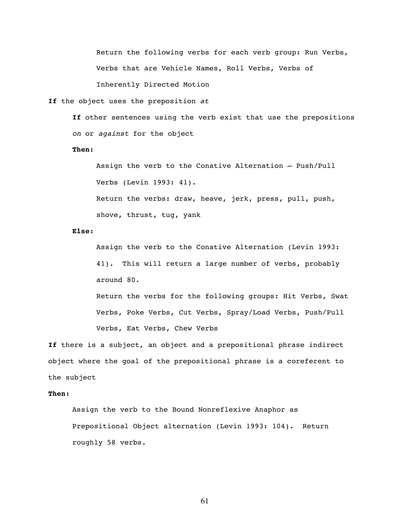Return the following verbs for each verb group: Run Verbs, Verbs that are Vehicle Names, Roll Verbs, Verbs of Inherently Directed Motion

**If** the object uses the preposition at

**If** other sentences using the verb exist that use the prepositions on or against for the object

#### **Then:**

Assign the verb to the Conative Alternation – Push/Pull Verbs (Levin 1993: 41).

Return the verbs: draw, heave, jerk, press, pull, push, shove, thrust, tug, yank

#### **Else:**

Assign the verb to the Conative Alternation (Levin 1993: 41). This will return a large number of verbs, probably around 80.

Return the verbs for the following groups: Hit Verbs, Swat Verbs, Poke Verbs, Cut Verbs, Spray/Load Verbs, Push/Pull Verbs, Eat Verbs, Chew Verbs

**If** there is a subject, an object and a prepositional phrase indirect object where the goal of the prepositional phrase is a coreferent to the subject

## **Then:**

Assign the verb to the Bound Nonreflexive Anaphor as Prepositional Object alternation (Levin 1993: 104). Return roughly 58 verbs.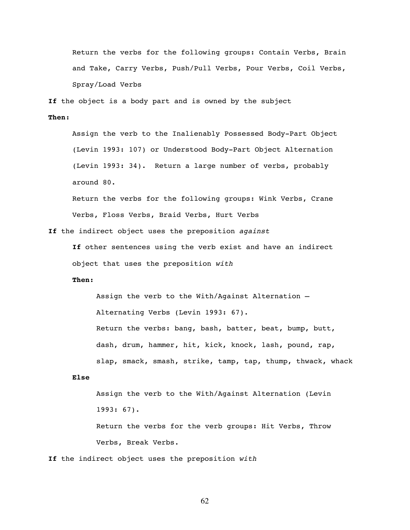Return the verbs for the following groups: Contain Verbs, Brain and Take, Carry Verbs, Push/Pull Verbs, Pour Verbs, Coil Verbs, Spray/Load Verbs

**If** the object is a body part and is owned by the subject

#### **Then:**

Assign the verb to the Inalienably Possessed Body-Part Object (Levin 1993: 107) or Understood Body-Part Object Alternation (Levin 1993: 34). Return a large number of verbs, probably around 80.

Return the verbs for the following groups: Wink Verbs, Crane Verbs, Floss Verbs, Braid Verbs, Hurt Verbs

**If** the indirect object uses the preposition against

**If** other sentences using the verb exist and have an indirect object that uses the preposition with

# **Then:**

Assign the verb to the With/Against Alternation – Alternating Verbs (Levin 1993: 67). Return the verbs: bang, bash, batter, beat, bump, butt, dash, drum, hammer, hit, kick, knock, lash, pound, rap, slap, smack, smash, strike, tamp, tap, thump, thwack, whack

#### **Else**

Assign the verb to the With/Against Alternation (Levin 1993: 67). Return the verbs for the verb groups: Hit Verbs, Throw Verbs, Break Verbs.

If the indirect object uses the preposition with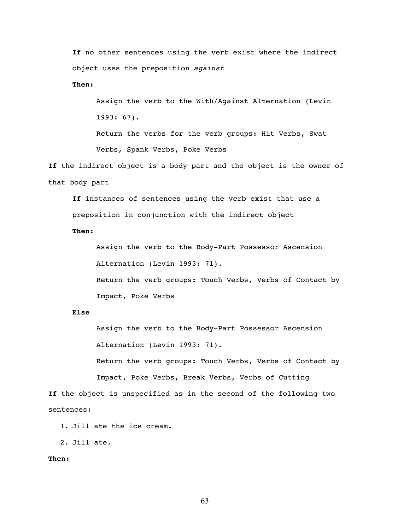**If** no other sentences using the verb exist where the indirect object uses the preposition against

**Then:**

Assign the verb to the With/Against Alternation (Levin 1993: 67). Return the verbs for the verb groups: Hit Verbs, Swat Verbs, Spank Verbs, Poke Verbs

**If** the indirect object is a body part and the object is the owner of that body part

**If** instances of sentences using the verb exist that use a preposition in conjunction with the indirect object

**Then:**

Assign the verb to the Body-Part Possessor Ascension Alternation (Levin 1993: 71). Return the verb groups: Touch Verbs, Verbs of Contact by Impact, Poke Verbs

## **Else**

Assign the verb to the Body-Part Possessor Ascension Alternation (Levin 1993: 71).

Return the verb groups: Touch Verbs, Verbs of Contact by Impact, Poke Verbs, Break Verbs, Verbs of Cutting

**If** the object is unspecified as in the second of the following two sentences:

1. Jill ate the ice cream.

2. Jill ate.

#### **Then:**